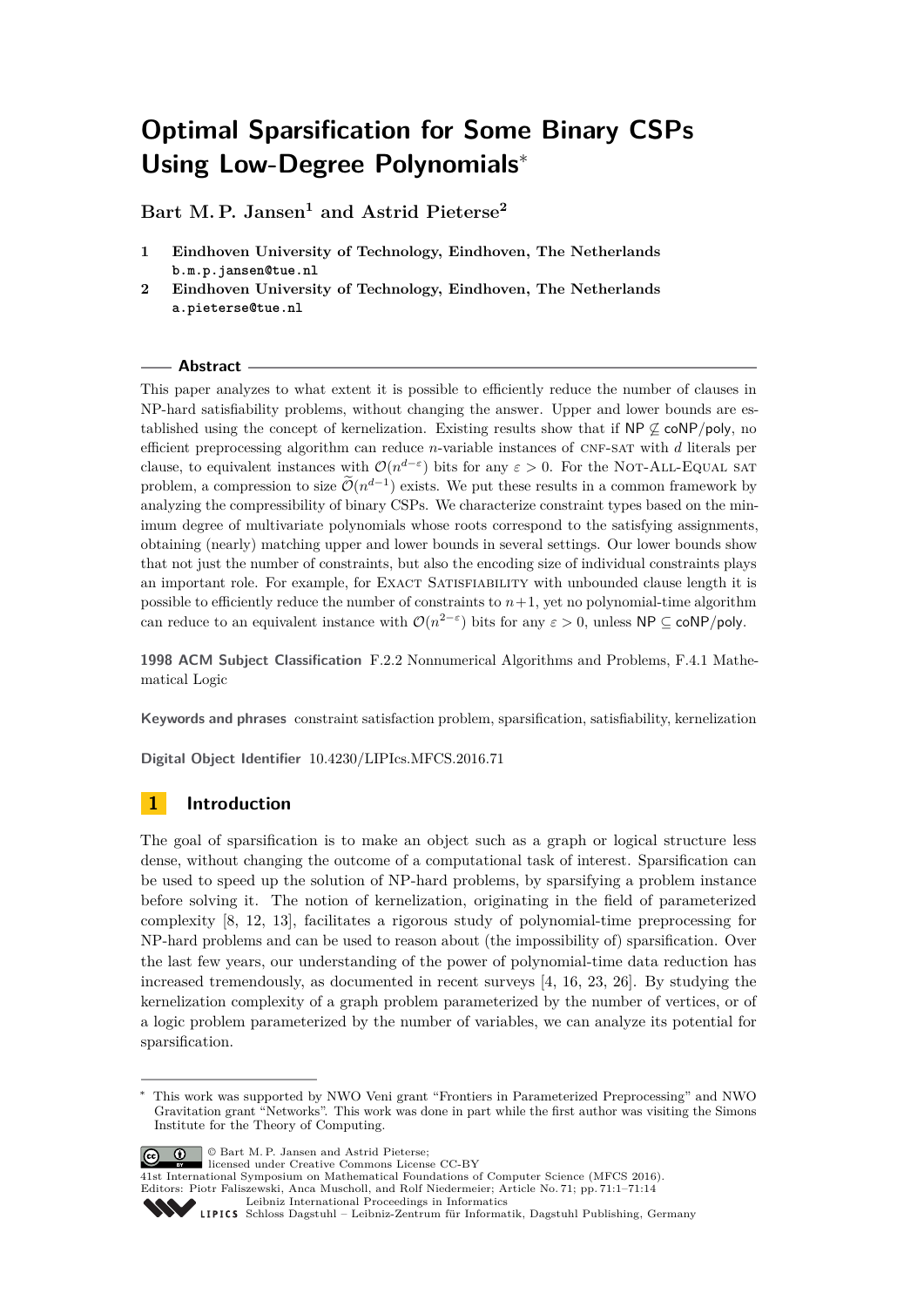# **Optimal Sparsification for Some Binary CSPs Using Low-Degree Polynomials**<sup>∗</sup>

**Bart M. P. Jansen<sup>1</sup> and Astrid Pieterse<sup>2</sup>**

- **1 Eindhoven University of Technology, Eindhoven, The Netherlands b.m.p.jansen@tue.nl**
- **2 Eindhoven University of Technology, Eindhoven, The Netherlands a.pieterse@tue.nl**

# **Abstract**

This paper analyzes to what extent it is possible to efficiently reduce the number of clauses in NP-hard satisfiability problems, without changing the answer. Upper and lower bounds are established using the concept of kernelization. Existing results show that if  $NP \not\subseteq \text{coNP/poly}$ , no efficient preprocessing algorithm can reduce *n*-variable instances of cnf-sat with *d* literals per clause, to equivalent instances with  $\mathcal{O}(n^{d-\varepsilon})$  bits for any  $\varepsilon > 0$ . For the NOT-ALL-EQUAL SAT problem, a compression to size  $\mathcal{O}(n^{d-1})$  exists. We put these results in a common framework by analyzing the compressibility of binary CSPs. We characterize constraint types based on the minimum degree of multivariate polynomials whose roots correspond to the satisfying assignments, obtaining (nearly) matching upper and lower bounds in several settings. Our lower bounds show that not just the number of constraints, but also the encoding size of individual constraints plays an important role. For example, for EXACT SATISFIABILITY with unbounded clause length it is possible to efficiently reduce the number of constraints to  $n+1$ , yet no polynomial-time algorithm can reduce to an equivalent instance with  $\mathcal{O}(n^{2-\epsilon})$  bits for any  $\varepsilon > 0$ , unless NP  $\subseteq \text{coNP/poly}$ .

**1998 ACM Subject Classification** F.2.2 Nonnumerical Algorithms and Problems, F.4.1 Mathematical Logic

**Keywords and phrases** constraint satisfaction problem, sparsification, satisfiability, kernelization

**Digital Object Identifier** [10.4230/LIPIcs.MFCS.2016.71](http://dx.doi.org/10.4230/LIPIcs.MFCS.2016.71)

# **1 Introduction**

The goal of sparsification is to make an object such as a graph or logical structure less dense, without changing the outcome of a computational task of interest. Sparsification can be used to speed up the solution of NP-hard problems, by sparsifying a problem instance before solving it. The notion of kernelization, originating in the field of parameterized complexity [\[8,](#page-12-0) [12,](#page-12-1) [13\]](#page-12-2), facilitates a rigorous study of polynomial-time preprocessing for NP-hard problems and can be used to reason about (the impossibility of) sparsification. Over the last few years, our understanding of the power of polynomial-time data reduction has increased tremendously, as documented in recent surveys [\[4,](#page-12-3) [16,](#page-12-4) [23,](#page-13-0) [26\]](#page-13-1). By studying the kernelization complexity of a graph problem parameterized by the number of vertices, or of a logic problem parameterized by the number of variables, we can analyze its potential for sparsification.

© Bart M. P. Jansen and Astrid Pieterse; licensed under Creative Commons License CC-BY

<sup>41</sup>st International Symposium on Mathematical Foundations of Computer Science (MFCS 2016). Editors: Piotr Faliszewski, Anca Muscholl, and Rolf Niedermeier; Article No. 71; pp. 71:1–71[:14](#page-13-2) [Leibniz International Proceedings in Informatics](http://www.dagstuhl.de/lipics/)



<sup>∗</sup> This work was supported by NWO Veni grant "Frontiers in Parameterized Preprocessing" and NWO Gravitation grant "Networks". This work was done in part while the first author was visiting the Simons Institute for the Theory of Computing.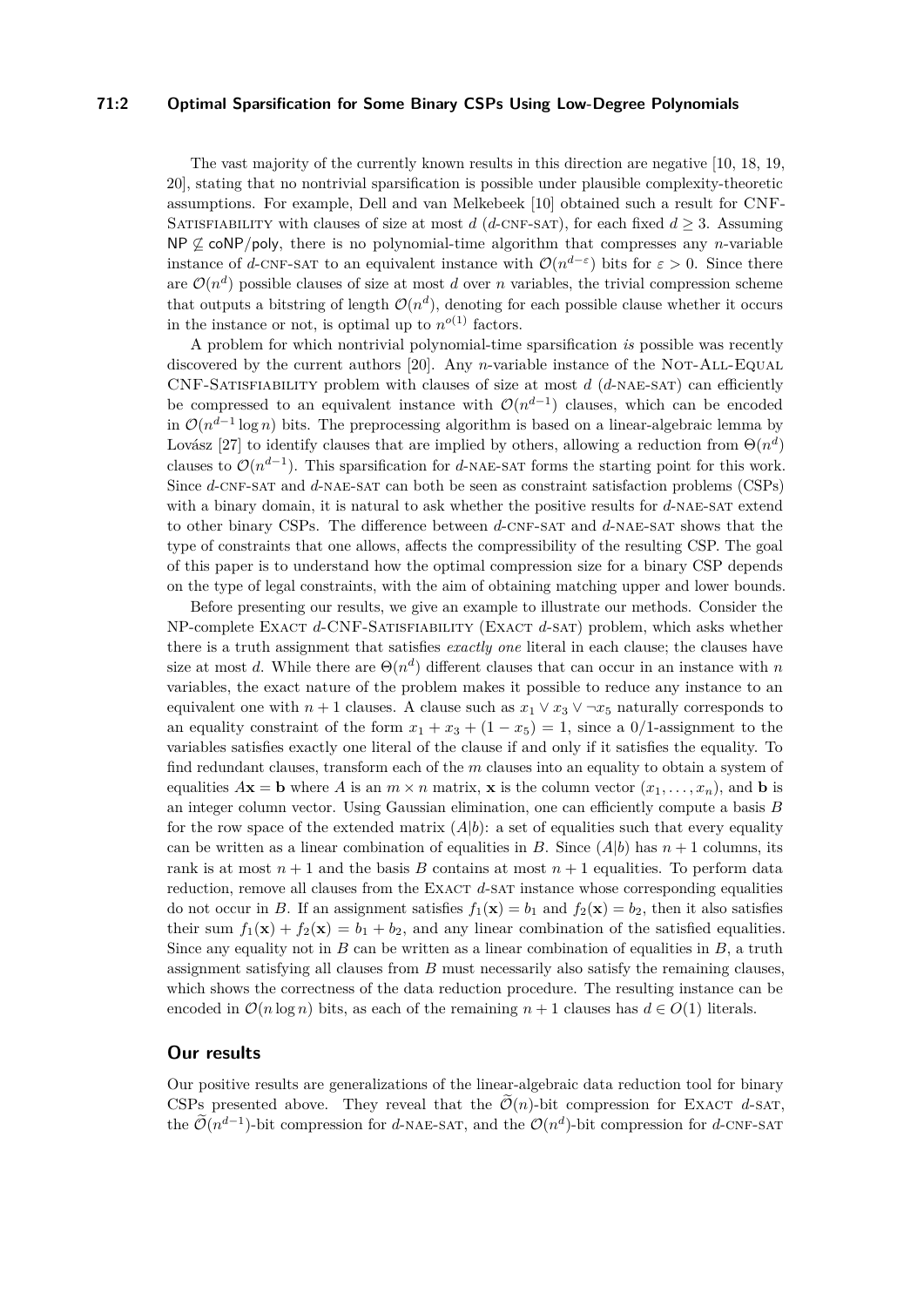### **71:2 Optimal Sparsification for Some Binary CSPs Using Low-Degree Polynomials**

The vast majority of the currently known results in this direction are negative [\[10,](#page-12-5) [18,](#page-12-6) [19,](#page-13-3) [20\]](#page-13-4), stating that no nontrivial sparsification is possible under plausible complexity-theoretic assumptions. For example, Dell and van Melkebeek [\[10\]](#page-12-5) obtained such a result for CNF-SATISFIABILITY with clauses of size at most *d* (*d*-CNF-SAT), for each fixed  $d \geq 3$ . Assuming NP  $\not\subseteq$  coNP/poly, there is no polynomial-time algorithm that compresses any *n*-variable instance of *d*-CNF-SAT to an equivalent instance with  $\mathcal{O}(n^{d-\epsilon})$  bits for  $\varepsilon > 0$ . Since there are  $\mathcal{O}(n^d)$  possible clauses of size at most *d* over *n* variables, the trivial compression scheme that outputs a bitstring of length  $\mathcal{O}(n^d)$ , denoting for each possible clause whether it occurs in the instance or not, is optimal up to  $n^{o(1)}$  factors.

A problem for which nontrivial polynomial-time sparsification *is* possible was recently discovered by the current authors [\[20\]](#page-13-4). Any *n*-variable instance of the NOT-ALL-Equal CNF-Satisfiability problem with clauses of size at most *d* (*d*-nae-sat) can efficiently be compressed to an equivalent instance with  $\mathcal{O}(n^{d-1})$  clauses, which can be encoded in  $\mathcal{O}(n^{d-1}\log n)$  bits. The preprocessing algorithm is based on a linear-algebraic lemma by Lovász [\[27\]](#page-13-5) to identify clauses that are implied by others, allowing a reduction from  $\Theta(n^d)$ clauses to  $\mathcal{O}(n^{d-1})$ . This sparsification for *d*-NAE-SAT forms the starting point for this work. Since *d*-CNF-SAT and *d*-NAE-SAT can both be seen as constraint satisfaction problems (CSPs) with a binary domain, it is natural to ask whether the positive results for d-NAE-SAT extend to other binary CSPs. The difference between *d*-CNF-SAT and *d*-NAE-SAT shows that the type of constraints that one allows, affects the compressibility of the resulting CSP. The goal of this paper is to understand how the optimal compression size for a binary CSP depends on the type of legal constraints, with the aim of obtaining matching upper and lower bounds.

Before presenting our results, we give an example to illustrate our methods. Consider the NP-complete Exact *d*-CNF-Satisfiability (Exact *d*-sat) problem, which asks whether there is a truth assignment that satisfies *exactly one* literal in each clause; the clauses have size at most *d*. While there are  $\Theta(n^d)$  different clauses that can occur in an instance with *n* variables, the exact nature of the problem makes it possible to reduce any instance to an equivalent one with  $n + 1$  clauses. A clause such as  $x_1 \vee x_3 \vee \neg x_5$  naturally corresponds to an equality constraint of the form  $x_1 + x_3 + (1 - x_5) = 1$ , since a 0/1-assignment to the variables satisfies exactly one literal of the clause if and only if it satisfies the equality. To find redundant clauses, transform each of the *m* clauses into an equality to obtain a system of equalities  $A$ **x** = **b** where *A* is an  $m \times n$  matrix, **x** is the column vector  $(x_1, \ldots, x_n)$ , and **b** is an integer column vector. Using Gaussian elimination, one can efficiently compute a basis *B* for the row space of the extended matrix  $(A|b)$ : a set of equalities such that every equality can be written as a linear combination of equalities in *B*. Since  $(A|b)$  has  $n+1$  columns, its rank is at most  $n+1$  and the basis *B* contains at most  $n+1$  equalities. To perform data reduction, remove all clauses from the EXACT d-SAT instance whose corresponding equalities do not occur in *B*. If an assignment satisfies  $f_1(\mathbf{x}) = b_1$  and  $f_2(\mathbf{x}) = b_2$ , then it also satisfies their sum  $f_1(\mathbf{x}) + f_2(\mathbf{x}) = b_1 + b_2$ , and any linear combination of the satisfied equalities. Since any equality not in  $B$  can be written as a linear combination of equalities in  $B$ , a truth assignment satisfying all clauses from *B* must necessarily also satisfy the remaining clauses, which shows the correctness of the data reduction procedure. The resulting instance can be encoded in  $\mathcal{O}(n \log n)$  bits, as each of the remaining  $n + 1$  clauses has  $d \in O(1)$  literals.

# **Our results**

Our positive results are generalizations of the linear-algebraic data reduction tool for binary CSPs presented above. They reveal that the  $\tilde{\mathcal{O}}(n)$ -bit compression for EXACT *d*-SAT, the  $\tilde{\mathcal{O}}(n^{d-1})$ -bit compression for *d*-NAE-SAT, and the  $\mathcal{O}(n^d)$ -bit compression for *d*-CNF-SAT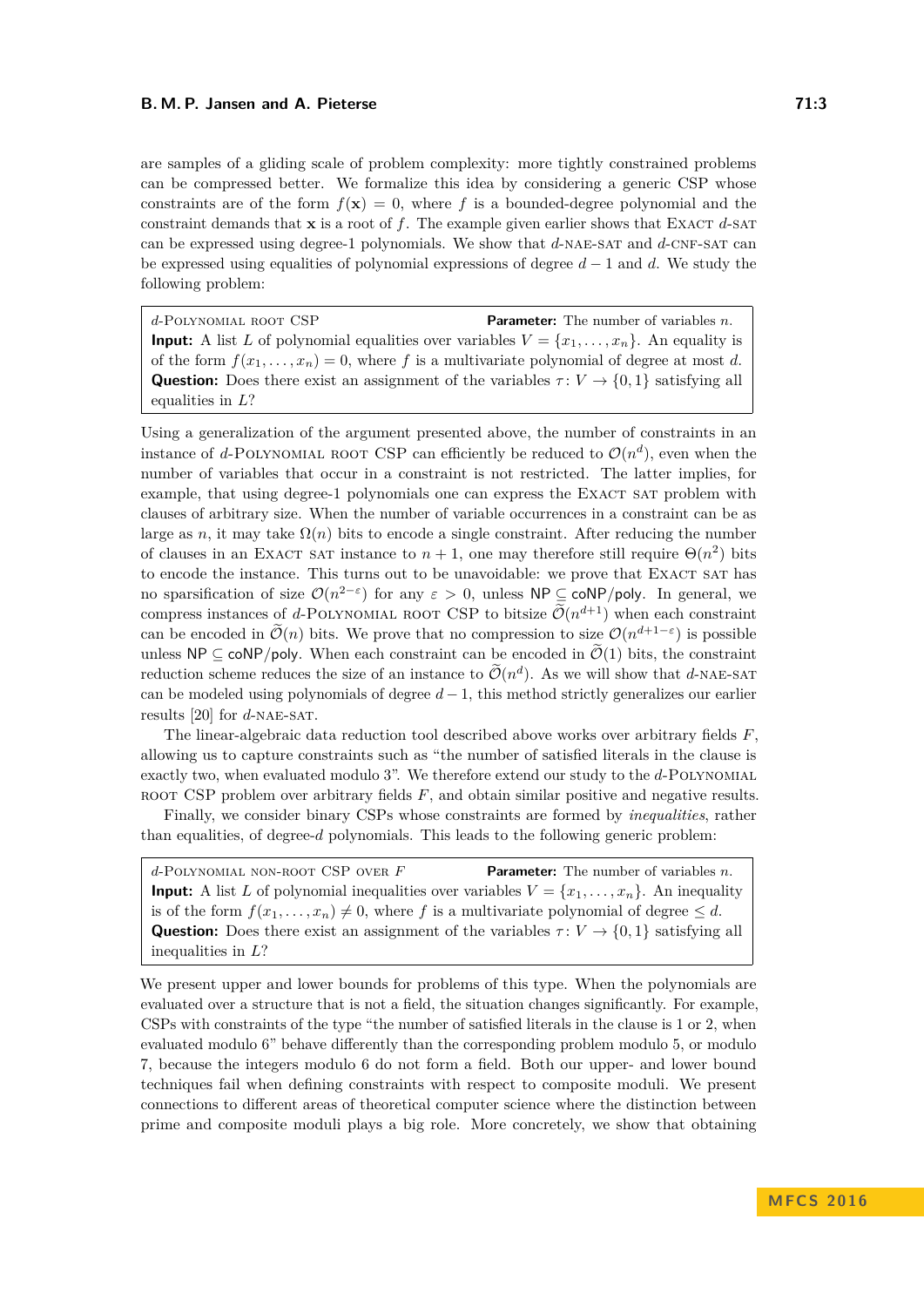are samples of a gliding scale of problem complexity: more tightly constrained problems can be compressed better. We formalize this idea by considering a generic CSP whose constraints are of the form  $f(\mathbf{x}) = 0$ , where f is a bounded-degree polynomial and the constraint demands that  $\bf{x}$  is a root of  $f$ . The example given earlier shows that EXACT  $d$ -SAT can be expressed using degree-1 polynomials. We show that *d*-nae-sat and *d*-cnf-sat can be expressed using equalities of polynomial expressions of degree *d* − 1 and *d*. We study the following problem:

*d*-Polynomial root CSP **Parameter:** The number of variables *n*. **Input:** A list *L* of polynomial equalities over variables  $V = \{x_1, \ldots, x_n\}$ . An equality is of the form  $f(x_1, \ldots, x_n) = 0$ , where f is a multivariate polynomial of degree at most d. **Question:** Does there exist an assignment of the variables  $\tau: V \to \{0, 1\}$  satisfying all equalities in *L*?

Using a generalization of the argument presented above, the number of constraints in an instance of *d*-POLYNOMIAL ROOT CSP can efficiently be reduced to  $\mathcal{O}(n^d)$ , even when the number of variables that occur in a constraint is not restricted. The latter implies, for example, that using degree-1 polynomials one can express the EXACT SAT problem with clauses of arbitrary size. When the number of variable occurrences in a constraint can be as large as *n*, it may take  $\Omega(n)$  bits to encode a single constraint. After reducing the number of clauses in an EXACT SAT instance to  $n + 1$ , one may therefore still require  $\Theta(n^2)$  bits to encode the instance. This turns out to be unavoidable: we prove that EXACT SAT has no sparsification of size  $\mathcal{O}(n^{2-\epsilon})$  for any  $\varepsilon > 0$ , unless NP  $\subseteq \text{coNP/poly}$ . In general, we compress instances of *d*-POLYNOMIAL ROOT CSP to bitsize  $\widetilde{\mathcal{O}}(n^{d+1})$  when each constraint can be encoded in  $\widetilde{\mathcal{O}}(n)$  bits. We prove that no compression to size  $\mathcal{O}(n^{d+1-\epsilon})$  is possible unless  $\mathsf{NP} \subseteq \mathsf{coNP/poly}$ . When each constraint can be encoded in  $\widetilde{\mathcal{O}}(1)$  bits, the constraint reduction scheme reduces the size of an instance to  $\widetilde{\mathcal{O}}(n^d)$ . As we will show that *d*-NAE-SAT can be modeled using polynomials of degree  $d-1$ , this method strictly generalizes our earlier results [\[20\]](#page-13-4) for *d*-nae-sat.

The linear-algebraic data reduction tool described above works over arbitrary fields *F*, allowing us to capture constraints such as "the number of satisfied literals in the clause is exactly two, when evaluated modulo 3". We therefore extend our study to the *d*-Polynomial ROOT CSP problem over arbitrary fields F, and obtain similar positive and negative results.

Finally, we consider binary CSPs whose constraints are formed by *inequalities*, rather than equalities, of degree-*d* polynomials. This leads to the following generic problem:

*d*-Polynomial non-root CSP over *F* **Parameter:** The number of variables *n*. **Input:** A list *L* of polynomial inequalities over variables  $V = \{x_1, \ldots, x_n\}$ . An inequality is of the form  $f(x_1, \ldots, x_n) \neq 0$ , where *f* is a multivariate polynomial of degree  $\leq d$ . **Question:** Does there exist an assignment of the variables  $\tau: V \to \{0, 1\}$  satisfying all inequalities in *L*?

We present upper and lower bounds for problems of this type. When the polynomials are evaluated over a structure that is not a field, the situation changes significantly. For example, CSPs with constraints of the type "the number of satisfied literals in the clause is 1 or 2, when evaluated modulo 6" behave differently than the corresponding problem modulo 5, or modulo 7, because the integers modulo 6 do not form a field. Both our upper- and lower bound techniques fail when defining constraints with respect to composite moduli. We present connections to different areas of theoretical computer science where the distinction between prime and composite moduli plays a big role. More concretely, we show that obtaining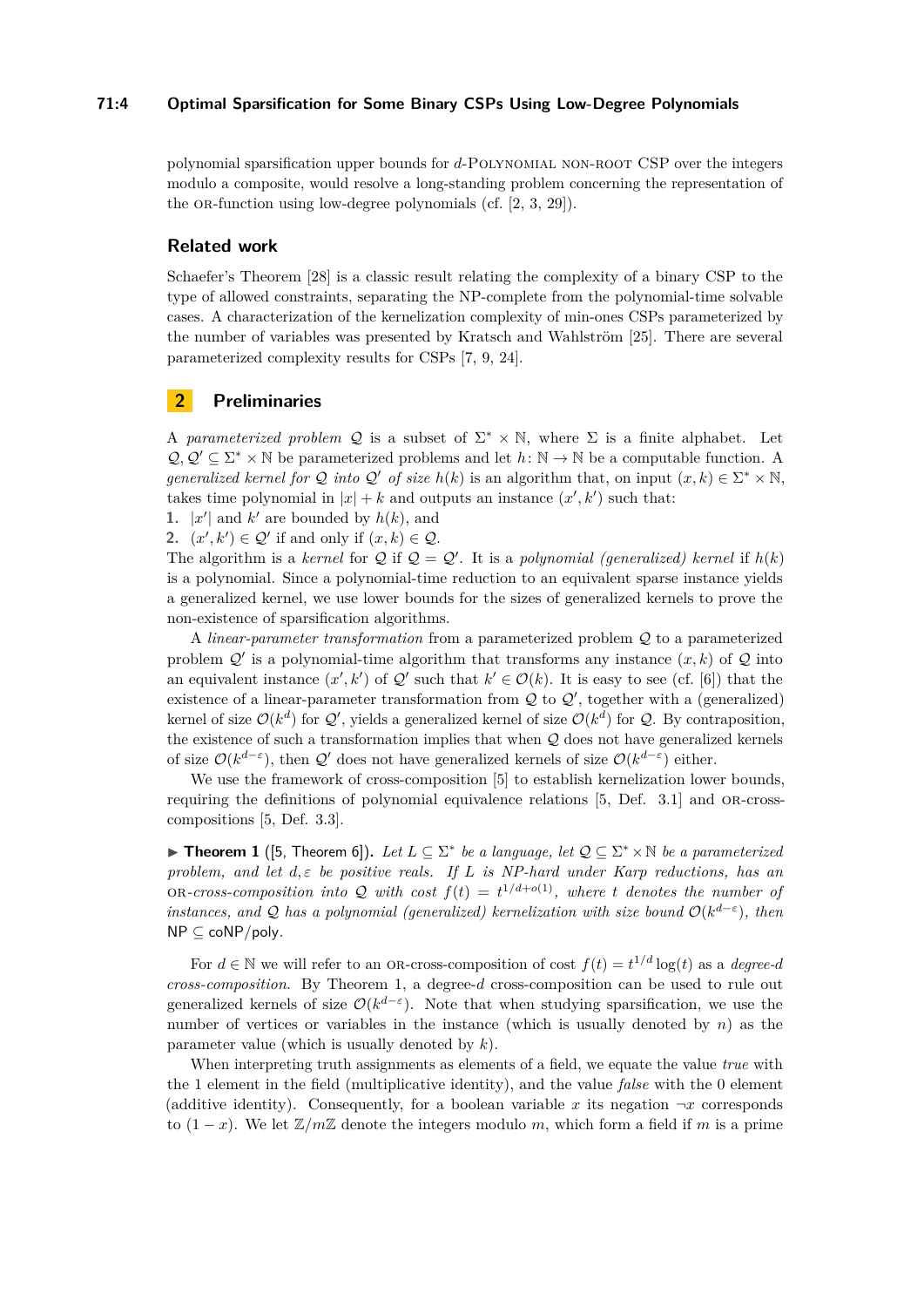## **71:4 Optimal Sparsification for Some Binary CSPs Using Low-Degree Polynomials**

polynomial sparsification upper bounds for *d*-Polynomial non-root CSP over the integers modulo a composite, would resolve a long-standing problem concerning the representation of the OR-function using low-degree polynomials (cf.  $[2, 3, 29]$  $[2, 3, 29]$  $[2, 3, 29]$ ).

## **Related work**

Schaefer's Theorem [\[28\]](#page-13-7) is a classic result relating the complexity of a binary CSP to the type of allowed constraints, separating the NP-complete from the polynomial-time solvable cases. A characterization of the kernelization complexity of min-ones CSPs parameterized by the number of variables was presented by Kratsch and Wahlström [\[25\]](#page-13-8). There are several parameterized complexity results for CSPs [\[7,](#page-12-9) [9,](#page-12-10) [24\]](#page-13-9).

# <span id="page-3-1"></span>**2 Preliminaries**

A *parameterized problem* Q is a subset of  $\Sigma^* \times \mathbb{N}$ , where  $\Sigma$  is a finite alphabet. Let  $\mathcal{Q}, \mathcal{Q}' \subseteq \Sigma^* \times \mathbb{N}$  be parameterized problems and let  $h: \mathbb{N} \to \mathbb{N}$  be a computable function. A *generalized kernel for*  $Q$  *into*  $Q'$  *of size*  $h(k)$  is an algorithm that, on input  $(x, k) \in \Sigma^* \times \mathbb{N}$ , takes time polynomial in  $|x| + k$  and outputs an instance  $(x', k')$  such that:

**1.**  $|x'|$  and  $k'$  are bounded by  $h(k)$ , and

**2.**  $(x', k') \in \mathcal{Q}'$  if and only if  $(x, k) \in \mathcal{Q}$ .

The algorithm is a *kernel* for  $Q$  if  $Q = Q'$ . It is a *polynomial (generalized) kernel* if  $h(k)$ is a polynomial. Since a polynomial-time reduction to an equivalent sparse instance yields a generalized kernel, we use lower bounds for the sizes of generalized kernels to prove the non-existence of sparsification algorithms.

A *linear-parameter transformation* from a parameterized problem Q to a parameterized problem  $\mathcal{Q}'$  is a polynomial-time algorithm that transforms any instance  $(x, k)$  of  $\mathcal Q$  into an equivalent instance  $(x', k')$  of  $\mathcal{Q}'$  such that  $k' \in \mathcal{O}(k)$ . It is easy to see (cf. [\[6\]](#page-12-11)) that the existence of a linear-parameter transformation from  $\mathcal Q$  to  $\mathcal Q'$ , together with a (generalized) kernel of size  $\mathcal{O}(k^d)$  for  $\mathcal{Q}'$ , yields a generalized kernel of size  $\mathcal{O}(k^d)$  for  $\mathcal{Q}$ . By contraposition, the existence of such a transformation implies that when Q does not have generalized kernels of size  $\mathcal{O}(k^{d-\varepsilon})$ , then  $\mathcal{Q}'$  does not have generalized kernels of size  $\mathcal{O}(k^{d-\varepsilon})$  either.

We use the framework of cross-composition [\[5\]](#page-12-12) to establish kernelization lower bounds, requiring the definitions of polynomial equivalence relations  $[5,$  Def. 3.1] and OR-crosscompositions [\[5,](#page-12-12) Def. 3.3].

<span id="page-3-0"></span>▶ **Theorem 1** ([\[5,](#page-12-12) Theorem 6]). Let  $L \subseteq \Sigma^*$  be a language, let  $\mathcal{Q} \subseteq \Sigma^* \times \mathbb{N}$  be a parameterized *problem, and let d, ε be positive reals. If L is NP-hard under Karp reductions, has an* OR-cross-composition into Q with cost  $f(t) = t^{1/d + o(1)}$ , where *t* denotes the number of *instances, and* Q *has a polynomial (generalized) kernelization with size bound*  $O(k^{d-\epsilon})$ , then NP ⊆ coNP*/*poly*.*

For  $d \in \mathbb{N}$  we will refer to an OR-cross-composition of cost  $f(t) = t^{1/d} \log(t)$  as a *degree-d cross-composition*. By Theorem [1,](#page-3-0) a degree-*d* cross-composition can be used to rule out generalized kernels of size  $\mathcal{O}(k^{d-\varepsilon})$ . Note that when studying sparsification, we use the number of vertices or variables in the instance (which is usually denoted by *n*) as the parameter value (which is usually denoted by *k*).

When interpreting truth assignments as elements of a field, we equate the value *true* with the 1 element in the field (multiplicative identity), and the value *false* with the 0 element (additive identity). Consequently, for a boolean variable x its negation  $\neg x$  corresponds to  $(1-x)$ . We let  $\mathbb{Z}/m\mathbb{Z}$  denote the integers modulo *m*, which form a field if *m* is a prime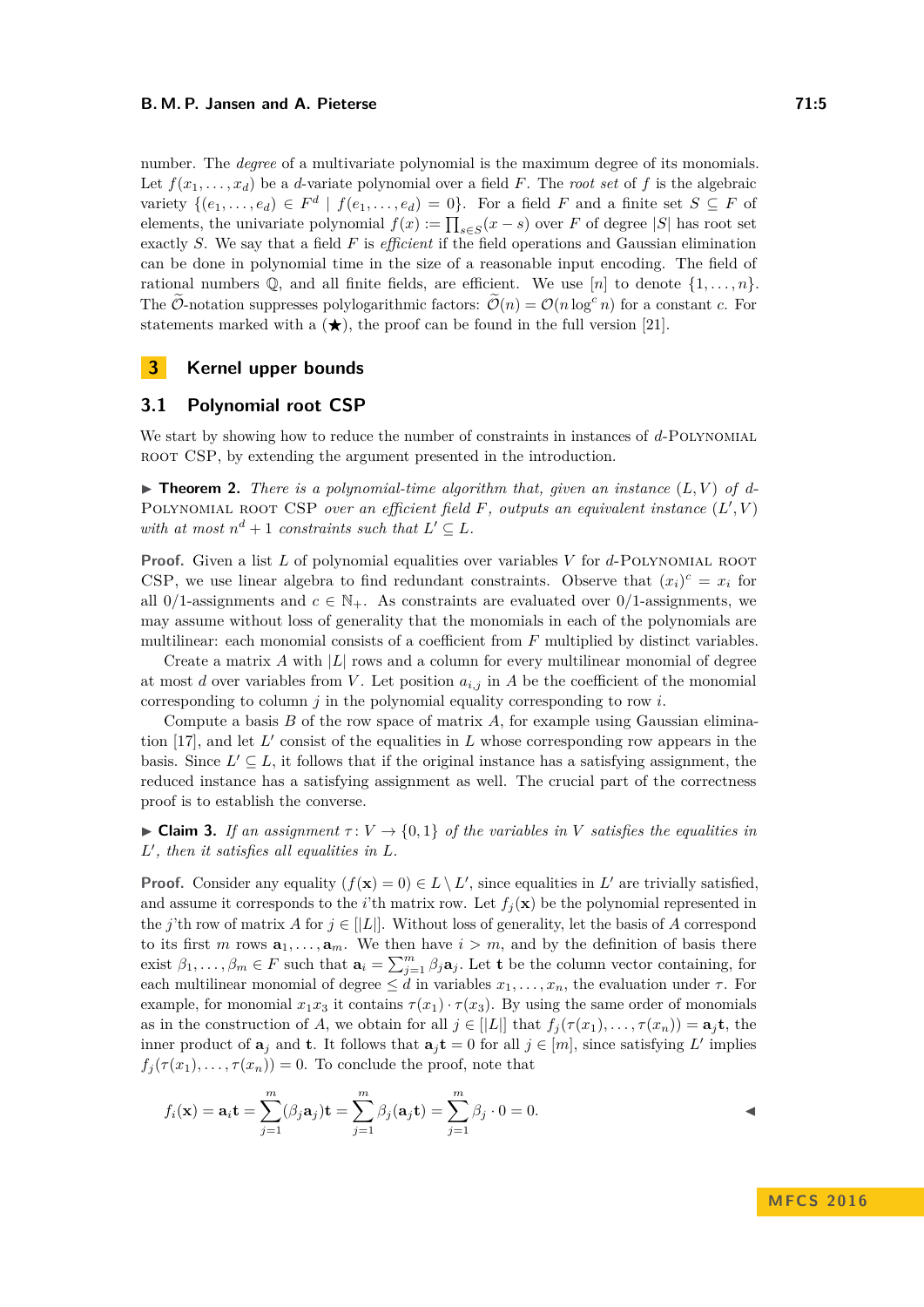#### **B. M. P. Jansen and A. Pieterse 71:5 71:5**

number. The *degree* of a multivariate polynomial is the maximum degree of its monomials. Let  $f(x_1, \ldots, x_d)$  be a *d*-variate polynomial over a field *F*. The *root set* of *f* is the algebraic variety  $\{(e_1, \ldots, e_d) \in F^d \mid f(e_1, \ldots, e_d) = 0\}$ . For a field *F* and a finite set  $S \subseteq F$  of elements, the univariate polynomial  $f(x) := \prod_{s \in S} (x - s)$  over *F* of degree |*S*| has root set exactly *S*. We say that a field *F* is *efficient* if the field operations and Gaussian elimination can be done in polynomial time in the size of a reasonable input encoding. The field of rational numbers  $\mathbb{Q}$ , and all finite fields, are efficient. We use  $[n]$  to denote  $\{1, \ldots, n\}$ . The O-notation suppresses polylogarithmic factors:  $\mathcal{O}(n) = \mathcal{O}(n \log^c n)$  for a constant *c*. For statements marked with a  $(\star)$ , the proof can be found in the full version [\[21\]](#page-13-10).

# **3 Kernel upper bounds**

## **3.1 Polynomial root CSP**

We start by showing how to reduce the number of constraints in instances of d-POLYNOMIAL ROOT CSP, by extending the argument presented in the introduction.

<span id="page-4-0"></span> $\triangleright$  **Theorem 2.** *There is a polynomial-time algorithm that, given an instance*  $(L, V)$  of d-POLYNOMIAL ROOT CSP *over an efficient field F*, *outputs an equivalent instance*  $(L', V)$ *with at most*  $n^d + 1$  *constraints such that*  $L' \subseteq L$ *.* 

**Proof.** Given a list *L* of polynomial equalities over variables *V* for *d*-Polynomial root CSP, we use linear algebra to find redundant constraints. Observe that  $(x_i)^c = x_i$  for all 0/1-assignments and  $c \in \mathbb{N}_+$ . As constraints are evaluated over 0/1-assignments, we may assume without loss of generality that the monomials in each of the polynomials are multilinear: each monomial consists of a coefficient from *F* multiplied by distinct variables.

Create a matrix *A* with |*L*| rows and a column for every multilinear monomial of degree at most *d* over variables from *V*. Let position  $a_{i,j}$  in *A* be the coefficient of the monomial corresponding to column *j* in the polynomial equality corresponding to row *i*.

Compute a basis *B* of the row space of matrix *A*, for example using Gaussian elimina-tion [\[17\]](#page-12-13), and let  $L'$  consist of the equalities in  $L$  whose corresponding row appears in the basis. Since  $L' \subseteq L$ , it follows that if the original instance has a satisfying assignment, the reduced instance has a satisfying assignment as well. The crucial part of the correctness proof is to establish the converse.

**► Claim 3.** If an assignment  $\tau: V \to \{0, 1\}$  of the variables in V satisfies the equalities in  $L'$ , then it satisfies all equalities in  $L$ .

**Proof.** Consider any equality  $(f(\mathbf{x}) = 0) \in L \setminus L'$ , since equalities in  $L'$  are trivially satisfied, and assume it corresponds to the *i*'th matrix row. Let  $f_j(\mathbf{x})$  be the polynomial represented in the *j*'th row of matrix *A* for  $j \in [[L]]$ . Without loss of generality, let the basis of *A* correspond to its first *m* rows  $a_1, \ldots, a_m$ . We then have  $i > m$ , and by the definition of basis there exist  $\beta_1, \ldots, \beta_m \in F$  such that  $\mathbf{a}_i = \sum_{j=1}^m \beta_j \mathbf{a}_j$ . Let **t** be the column vector containing, for each multilinear monomial of degree  $\leq d$  in variables  $x_1, \ldots, x_n$ , the evaluation under  $\tau$ . For example, for monomial  $x_1x_3$  it contains  $\tau(x_1)\cdot\tau(x_3)$ . By using the same order of monomials as in the construction of *A*, we obtain for all  $j \in [L]$  that  $f_j(\tau(x_1), \ldots, \tau(x_n)) = \mathbf{a}_j \mathbf{t}$ , the inner product of  $\mathbf{a}_j$  and **t**. It follows that  $\mathbf{a}_j \mathbf{t} = 0$  for all  $j \in [m]$ , since satisfying L' implies  $f_j(\tau(x_1), \ldots, \tau(x_n)) = 0$ . To conclude the proof, note that

$$
f_i(\mathbf{x}) = \mathbf{a}_i \mathbf{t} = \sum_{j=1}^m (\beta_j \mathbf{a}_j) \mathbf{t} = \sum_{j=1}^m \beta_j (\mathbf{a}_j \mathbf{t}) = \sum_{j=1}^m \beta_j \cdot 0 = 0.
$$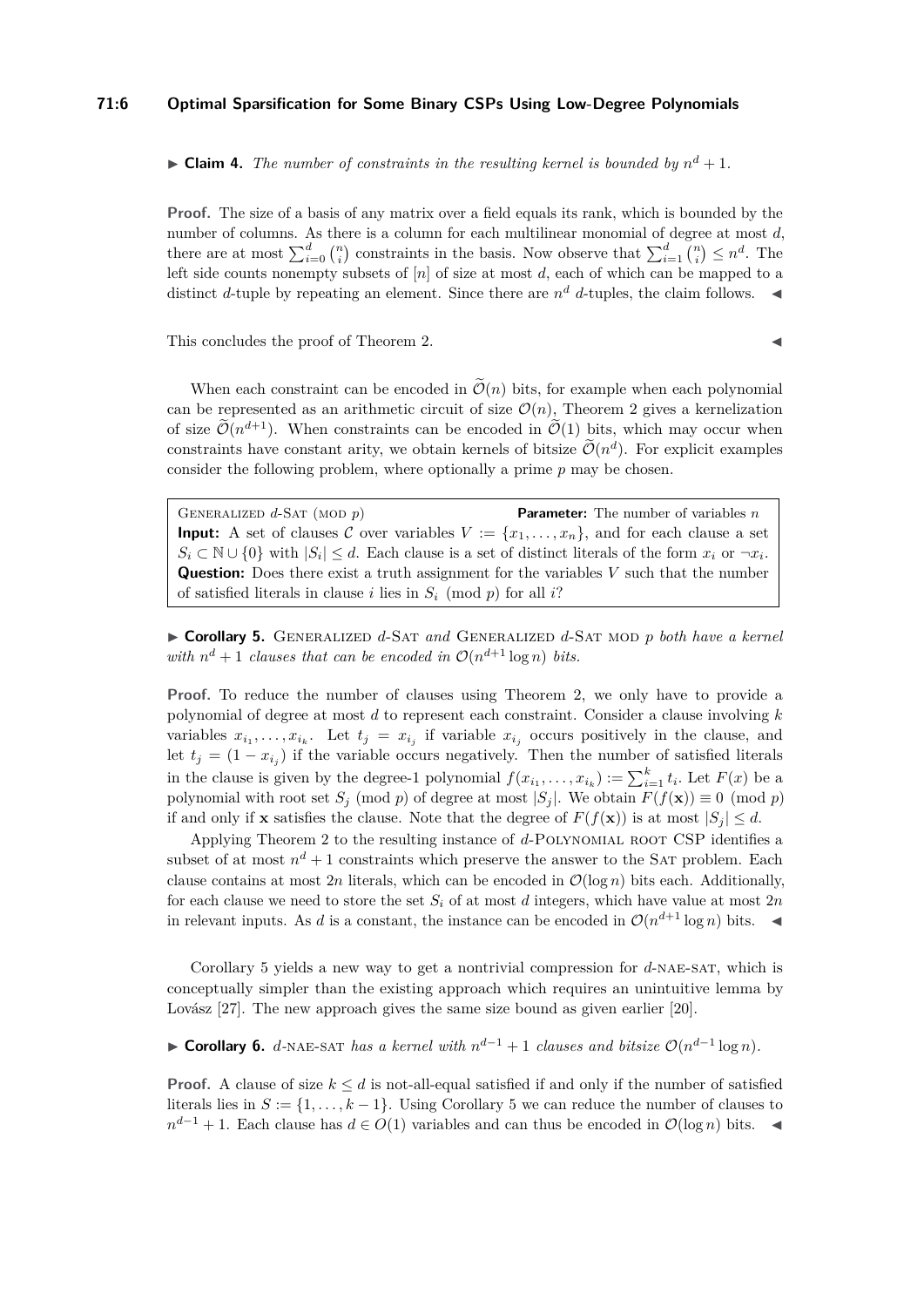## **71:6 Optimal Sparsification for Some Binary CSPs Using Low-Degree Polynomials**

 $\blacktriangleright$  **Claim 4.** The number of constraints in the resulting kernel is bounded by  $n^d + 1$ .

**Proof.** The size of a basis of any matrix over a field equals its rank, which is bounded by the number of columns. As there is a column for each multilinear monomial of degree at most *d*, there are at most  $\sum_{i=0}^{d} {n \choose i}$  constraints in the basis. Now observe that  $\sum_{i=1}^{d} {n \choose i} \leq n^d$ . The left side counts nonempty subsets of  $[n]$  of size at most *d*, each of which can be mapped to a distinct *d*-tuple by repeating an element. Since there are  $n^d$  *d*-tuples, the claim follows.

This concludes the proof of Theorem [2.](#page-4-0)

When each constraint can be encoded in  $\tilde{\mathcal{O}}(n)$  bits, for example when each polynomial can be represented as an arithmetic circuit of size  $\mathcal{O}(n)$ , Theorem [2](#page-4-0) gives a kernelization of size  $\mathcal{O}(n^{d+1})$ . When constraints can be encoded in  $\mathcal{O}(1)$  bits, which may occur when constraints have constant arity, we obtain kernels of bitsize  $\tilde{\mathcal{O}}(n^d)$ . For explicit examples consider the following problem, where optionally a prime *p* may be chosen.

GENERALIZED  $d$ -SAT (MOD  $p$ ) **Parameter:** The number of variables *n* **Input:** A set of clauses C over variables  $V := \{x_1, \ldots, x_n\}$ , and for each clause a set  $S_i \subset \mathbb{N} \cup \{0\}$  with  $|S_i| \leq d$ . Each clause is a set of distinct literals of the form  $x_i$  or  $\neg x_i$ . **Question:** Does there exist a truth assignment for the variables *V* such that the number of satisfied literals in clause *i* lies in  $S_i \pmod{p}$  for all *i*?

<span id="page-5-0"></span>I **Corollary 5.** Generalized *d*-Sat *and* Generalized *d*-Sat mod *p both have a kernel with*  $n^d + 1$  *clauses that can be encoded in*  $\mathcal{O}(n^{d+1} \log n)$  *bits.* 

**Proof.** To reduce the number of clauses using Theorem [2,](#page-4-0) we only have to provide a polynomial of degree at most *d* to represent each constraint. Consider a clause involving *k* variables  $x_{i_1}, \ldots, x_{i_k}$ . Let  $t_j = x_{i_j}$  if variable  $x_{i_j}$  occurs positively in the clause, and let  $t_j = (1 - x_{i_j})$  if the variable occurs negatively. Then the number of satisfied literals in the clause is given by the degree-1 polynomial  $f(x_{i_1},...,x_{i_k}) := \sum_{i=1}^k t_i$ . Let  $F(x)$  be a polynomial with root set  $S_j$  (mod *p*) of degree at most  $|S_j|$ . We obtain  $F(f(\mathbf{x})) \equiv 0 \pmod{p}$ if and only if **x** satisfies the clause. Note that the degree of  $F(f(\mathbf{x}))$  is at most  $|S_i| \leq d$ .

Applying Theorem [2](#page-4-0) to the resulting instance of *d*-Polynomial root CSP identifies a subset of at most  $n^d + 1$  constraints which preserve the answer to the SAT problem. Each clause contains at most 2*n* literals, which can be encoded in  $\mathcal{O}(\log n)$  bits each. Additionally, for each clause we need to store the set  $S_i$  of at most *d* integers, which have value at most  $2n$ in relevant inputs. As *d* is a constant, the instance can be encoded in  $\mathcal{O}(n^{d+1} \log n)$  bits.

Corollary [5](#page-5-0) yields a new way to get a nontrivial compression for *d*-nae-sat, which is conceptually simpler than the existing approach which requires an unintuitive lemma by Lovász [\[27\]](#page-13-5). The new approach gives the same size bound as given earlier [\[20\]](#page-13-4).

► **Corollary 6.** *d*-NAE-SAT *has a kernel with*  $n^{d-1} + 1$  *clauses and bitsize*  $\mathcal{O}(n^{d-1} \log n)$ *.* 

**Proof.** A clause of size  $k \leq d$  is not-all-equal satisfied if and only if the number of satisfied literals lies in  $S := \{1, \ldots, k-1\}$ . Using Corollary [5](#page-5-0) we can reduce the number of clauses to  $n^{d-1} + 1$ . Each clause has  $d \in O(1)$  variables and can thus be encoded in  $O(\log n)$  bits.  $\triangleleft$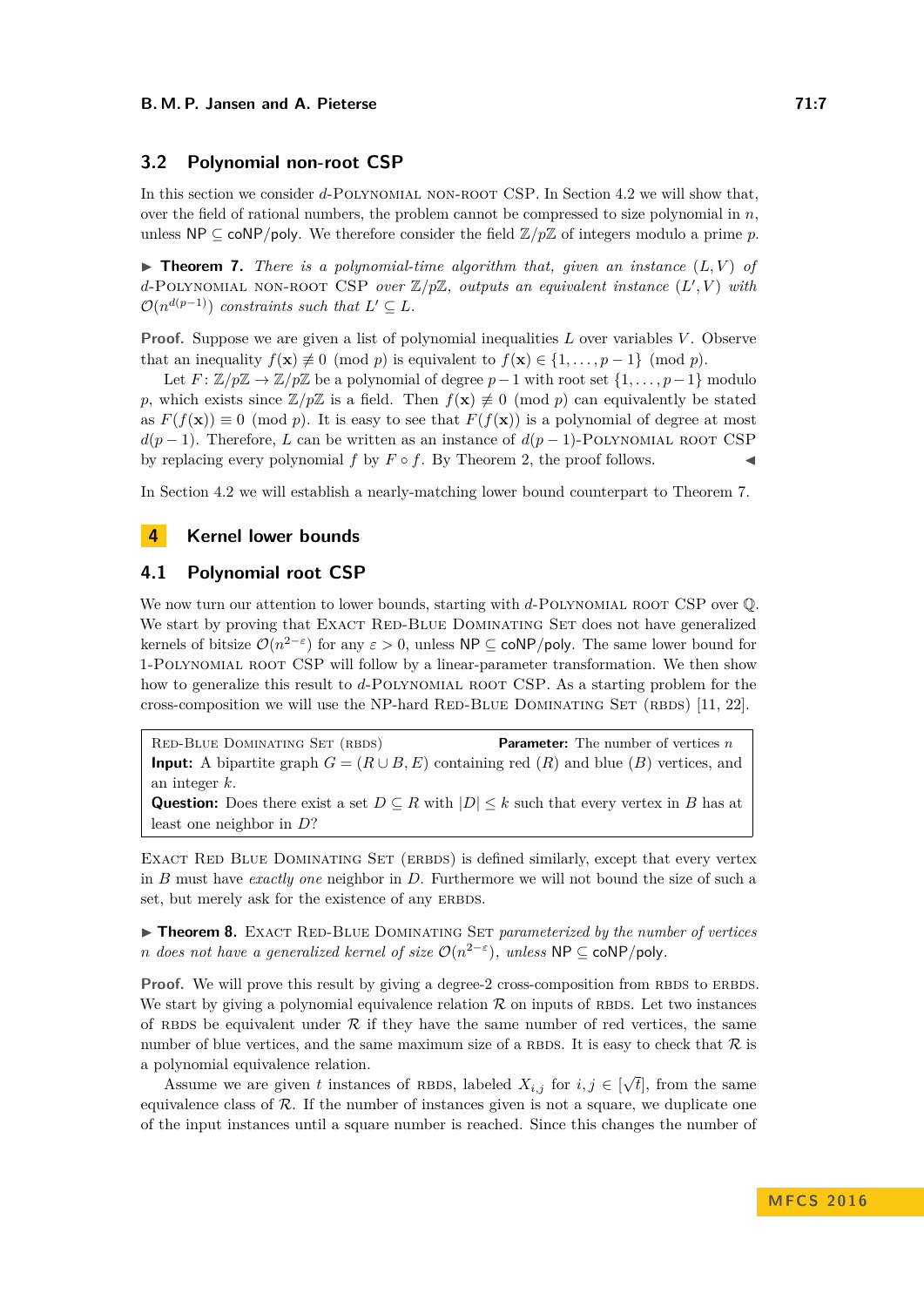# <span id="page-6-2"></span>**3.2 Polynomial non-root CSP**

In this section we consider *d*-POLYNOMIAL NON-ROOT CSP. In Section [4.2](#page-10-0) we will show that, over the field of rational numbers, the problem cannot be compressed to size polynomial in  $n$ , unless  $\mathsf{NP} \subseteq \mathsf{coNP/poly}$ . We therefore consider the field  $\mathbb{Z}/p\mathbb{Z}$  of integers modulo a prime p.

<span id="page-6-0"></span> $\triangleright$  **Theorem 7.** *There is a polynomial-time algorithm that, given an instance*  $(L, V)$  of  $d$ -POLYNOMIAL NON-ROOT CSP *over*  $\mathbb{Z}/p\mathbb{Z}$ *, outputs an equivalent instance*  $(L', V)$  *with*  $\mathcal{O}(n^{d(p-1)})$  *constraints such that*  $L' \subseteq L$ *.* 

**Proof.** Suppose we are given a list of polynomial inequalities *L* over variables *V* . Observe that an inequality  $f(\mathbf{x}) \neq 0 \pmod{p}$  is equivalent to  $f(\mathbf{x}) \in \{1, \ldots, p-1\} \pmod{p}$ .

Let  $F: \mathbb{Z}/p\mathbb{Z} \to \mathbb{Z}/p\mathbb{Z}$  be a polynomial of degree  $p-1$  with root set  $\{1,\ldots,p-1\}$  modulo *p*, which exists since  $\mathbb{Z}/p\mathbb{Z}$  is a field. Then  $f(\mathbf{x}) \neq 0 \pmod{p}$  can equivalently be stated as  $F(f(\mathbf{x})) \equiv 0 \pmod{p}$ . It is easy to see that  $F(f(\mathbf{x}))$  is a polynomial of degree at most  $d(p-1)$ . Therefore, *L* can be written as an instance of  $d(p-1)$ -POLYNOMIAL ROOT CSP by replacing every polynomial  $f$  by  $F \circ f$ . By Theorem [2,](#page-4-0) the proof follows.

In Section [4.2](#page-10-0) we will establish a nearly-matching lower bound counterpart to Theorem [7.](#page-6-0)

# **4 Kernel lower bounds**

# **4.1 Polynomial root CSP**

We now turn our attention to lower bounds, starting with *d*-POLYNOMIAL ROOT CSP over  $\mathbb{Q}$ . We start by proving that EXACT RED-BLUE DOMINATING SET does not have generalized kernels of bitsize  $\mathcal{O}(n^{2-\epsilon})$  for any  $\varepsilon > 0$ , unless NP  $\subseteq \text{coNP/poly}$ . The same lower bound for 1-Polynomial root CSP will follow by a linear-parameter transformation. We then show how to generalize this result to d-POLYNOMIAL ROOT CSP. As a starting problem for the cross-composition we will use the NP-hard RED-BLUE DOMINATING SET (RBDS)  $[11, 22]$  $[11, 22]$ .

Red-Blue Dominating Set (rbds) **Parameter:** The number of vertices *n* **Input:** A bipartite graph  $G = (R \cup B, E)$  containing red  $(R)$  and blue  $(B)$  vertices, and an integer *k*. **Question:** Does there exist a set  $D \subseteq R$  with  $|D| \leq k$  such that every vertex in *B* has at least one neighbor in *D*?

EXACT RED BLUE DOMINATING SET (ERBDS) is defined similarly, except that every vertex in *B* must have *exactly one* neighbor in *D*. Furthermore we will not bound the size of such a set, but merely ask for the existence of any ERBDS.

<span id="page-6-1"></span>▶ Theorem 8. EXACT RED-BLUE DOMINATING SET *parameterized by the number of vertices n* does not have a generalized kernel of size  $\mathcal{O}(n^{2-\epsilon})$ , unless NP  $\subseteq$  coNP/poly.

**Proof.** We will prove this result by giving a degree-2 cross-composition from RBDS to ERBDS. We start by giving a polynomial equivalence relation  $\mathcal R$  on inputs of RBDS. Let two instances of RBDS be equivalent under  $R$  if they have the same number of red vertices, the same number of blue vertices, and the same maximum size of a RBDS. It is easy to check that  $\mathcal R$  is a polynomial equivalence relation.

Assume we are given *t* instances of RBDS, labeled  $X_{i,j}$  for  $i, j \in [\sqrt{2}]$ *t*], from the same equivalence class of  $R$ . If the number of instances given is not a square, we duplicate one of the input instances until a square number is reached. Since this changes the number of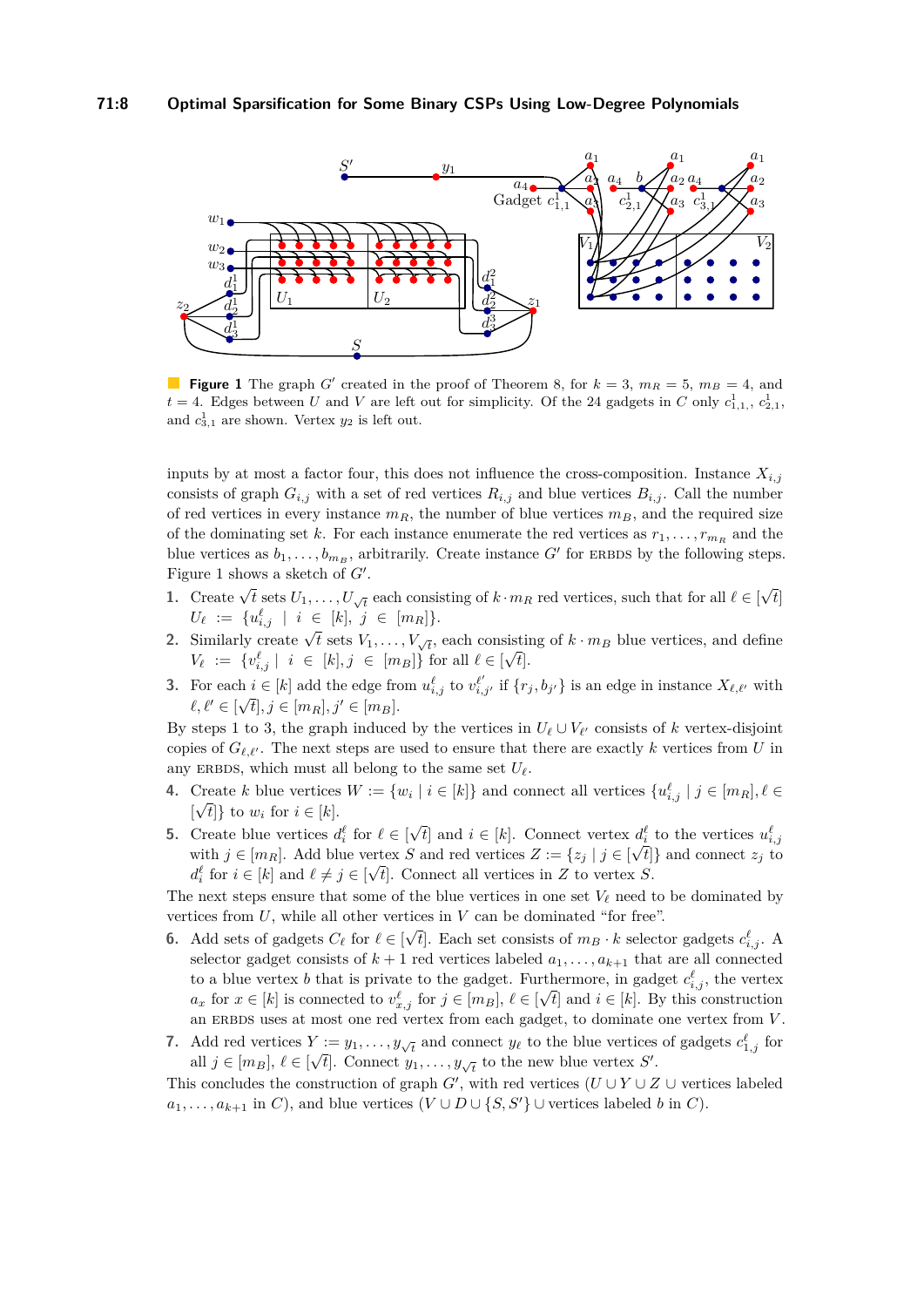<span id="page-7-0"></span>

**Figure 1** The graph *G*<sup> $\prime$ </sup> created in the proof of Theorem [8,](#page-6-1) for  $k = 3$ ,  $m_R = 5$ ,  $m_B = 4$ , and  $t = 4$ . Edges between *U* and *V* are left out for simplicity. Of the 24 gadgets in *C* only  $c_{1,1}^1, c_{2,1}^1$ and  $c_{3,1}^1$  are shown. Vertex  $y_2$  is left out.

inputs by at most a factor four, this does not influence the cross-composition. Instance  $X_{i,j}$ consists of graph  $G_{i,j}$  with a set of red vertices  $R_{i,j}$  and blue vertices  $B_{i,j}$ . Call the number of red vertices in every instance  $m_R$ , the number of blue vertices  $m_B$ , and the required size of the dominating set *k*. For each instance enumerate the red vertices as  $r_1, \ldots, r_{mR}$  and the blue vertices as  $b_1, \ldots, b_{m}$ , arbitrarily. Create instance  $G'$  for ERBDS by the following steps. Figure [1](#page-7-0) shows a sketch of  $G'$ . √

- <span id="page-7-1"></span>**1.** Create  $\sqrt{t}$  sets  $U_1, \ldots, U_{\sqrt{t}}$  each consisting of  $k \cdot m_R$  red vertices, such that for all  $\ell \in$ *t*]  $U_{\ell}$  := { $u_{i,j}^{\ell}$  |  $i \in [k], j \in [m_R]$ }.
- 2. Similarly create  $\sqrt{t}$  sets  $V_1, \ldots, V_{\sqrt{t}}$ , each consisting of  $k \cdot m_B$  blue vertices, and define  $V_{\ell} := \{v^{\ell}_{i,j} \mid i \in [k], j \in [m_B]\}$  for all  $\ell \in [\sqrt{t}]$ .
- <span id="page-7-2"></span>**3.** For each  $i \in [k]$  add the edge from  $u^{\ell}_{i,j}$  to  $v^{\ell'}_{i,j'}$  if  $\{r_j, b_{j'}\}$  is an edge in instance  $X_{\ell, \ell'}$  with  $\ell, \ell' \in [\sqrt{t}], j \in [m_R], j' \in [m_B].$

By steps [1](#page-7-1) to [3,](#page-7-2) the graph induced by the vertices in  $U_{\ell} \cup V_{\ell'}$  consists of *k* vertex-disjoint copies of  $G_{\ell,\ell'}$ . The next steps are used to ensure that there are exactly *k* vertices from *U* in any ERBDS, which must all belong to the same set  $U_{\ell}$ .

- <span id="page-7-4"></span>**4.** Create *k* blue vertices  $W := \{w_i \mid i \in [k]\}$  and connect all vertices  $\{u_{i,j}^{\ell} \mid j \in [m_R], \ell \in [k]\}$  $[\sqrt{t}]$  to  $w_i$  for  $i \in [k]$ . √
- <span id="page-7-3"></span>**5.** Create blue vertices  $d_i^{\ell}$  for  $\ell \in [$ *t*<sup> $i \in [k]$ . Connect vertex  $d_i^{\ell}$  to the vertices  $u_{i,j}^{\ell}$ </sup> with  $j \in [m_R]$ . Add blue vertex *S* and red vertices  $Z := \{z_j \mid j \in [\sqrt{t}]\}$  and connect  $z_j$  to  $d_i^{\ell}$  for  $i \in [k]$  and  $\ell \neq j \in [\sqrt{t}]$ . Connect all vertices in *Z* to vertex *S*.

The next steps ensure that some of the blue vertices in one set  $V_\ell$  need to be dominated by vertices from  $U$ , while all other vertices in  $V$  can be dominated "for free".

- **6.** Add sets of gadgets  $C_{\ell}$  for  $\ell \in [\sqrt{t}]$ . Each set consists of  $m_B \cdot k$  selector gadgets  $c_{i,j}^{\ell}$ . A selector gadget consists of  $k + 1$  red vertices labeled  $a_1, \ldots, a_{k+1}$  that are all connected to a blue vertex *b* that is private to the gadget. Furthermore, in gadget  $c_{i,j}^{\ell}$ , the vertex *a*<sup>*x*</sup> for *x* ∈ [*k*] is connected to  $v$ <sup> $\ell$ </sup><sub>*x,j*</sub> for *j* ∈ [*m<sub>B</sub>*],  $\ell$  ∈ [ $\sqrt{t}$ ] and *i* ∈ [*k*]. By this construction an ERBDS uses at most one red vertex from each gadget, to dominate one vertex from *V*.
- <span id="page-7-5"></span>**7.** Add red vertices  $Y := y_1, \ldots, y_{\sqrt{t}}$  and connect  $y_\ell$  to the blue vertices of gadgets  $c_{1,j}^\ell$  for all  $j \in [m_B]$ ,  $\ell \in [\sqrt{t}]$ . Connect  $y_1, \ldots, y_{\sqrt{t}}$  to the new blue vertex *S'*.

This concludes the construction of graph *G*', with red vertices  $(U \cup Y \cup Z \cup$  vertices labeled  $a_1, \ldots, a_{k+1}$  in *C*), and blue vertices ( $V \cup D \cup \{S, S'\}$ ) ∪ vertices labeled *b* in *C*).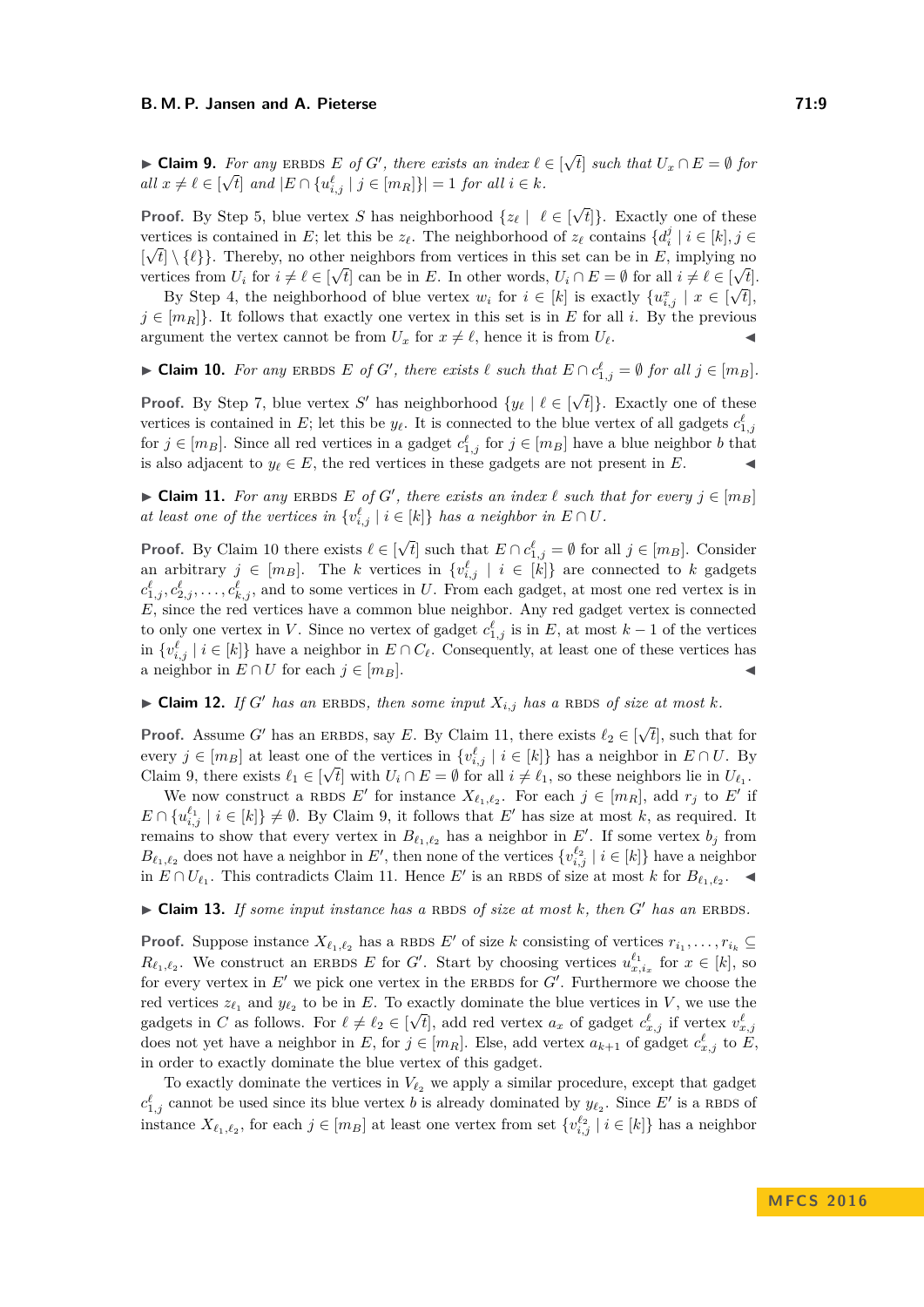<span id="page-8-2"></span>▶ Claim 9. *For any* ERBDS *E of G*<sup>*'*</sup>, *there exists an index*  $\ell \in$ √ *For any* ERBDS *E* of *G'*, there exists an index  $\ell \in [\sqrt{t}]$  such that  $U_x \cap E = \emptyset$  for  $all \ x \neq \ell \in [\sqrt{t}] \ and \ |E \cap \{u^{\ell}_{i,j} \ | \ j \in [m_R]\}| = 1 \ for \ all \ i \in k.$ 

**Proof.** By Step [5,](#page-7-3) blue vertex *S* has neighborhood  $\{z_\ell \mid \ell \in$ √ *t*]}. Exactly one of these vertices is contained in *E*; let this be  $z_\ell$ . The neighborhood of  $z_\ell$  contains  $\{d_i^j \mid i \in [k], j \in [S] \}$  $[\sqrt{t}] \setminus {\ell}$ . Thereby, no other neighbors from vertices in this set can be in *E*, implying no vertices from  $U_i$  for  $i \neq \ell \in [\sqrt{t}]$  can be in *E*. In other words,  $U_i \cap E = \emptyset$  for all  $i \neq \ell \in [\sqrt{t}]$ .

By Step [4,](#page-7-4) the neighborhood of blue vertex  $w_i$  for  $i \in [k]$  is exactly  $\{u_{i,j}^x \mid x \in [\sqrt{t}],$  $j \in [m_R]$ . It follows that exactly one vertex in this set is in *E* for all *i*. By the previous argument the vertex cannot be from  $U_x$  for  $x \neq \ell$ , hence it is from  $U_\ell$ .

<span id="page-8-0"></span>▶ **Claim 10.** For any ERBDS *E* of *G*<sup>*'*</sup>, there exists  $\ell$  such that  $E \cap c_{1,j}^{\ell} = \emptyset$  for all  $j \in [m_B]$ .

**Proof.** By Step [7,](#page-7-5) blue vertex *S'* has neighborhood  $\{y_\ell \mid \ell \in [\sqrt{\mathcal{N}}] \}$ *t*]}. Exactly one of these vertices is contained in *E*; let this be  $y_{\ell}$ . It is connected to the blue vertex of all gadgets  $c_{1,j}^{\ell}$ for  $j \in [m_B]$ . Since all red vertices in a gadget  $c_{1,j}^{\ell}$  for  $j \in [m_B]$  have a blue neighbor *b* that is also adjacent to  $y_\ell \in E$ , the red vertices in these gadgets are not present in *E*.

<span id="page-8-1"></span>▶ **Claim 11.** *For any* ERBDS *E of G*<sup> $\prime$ </sup>, *there exists an index*  $\ell$  *such that for every*  $j \in [m_B]$ *at least one of the vertices in*  $\{v_{i,j}^{\ell} \mid i \in [k]\}$  *has a neighbor in*  $E \cap U$ *.* 

**Proof.** By Claim [10](#page-8-0) there exists  $\ell \in$ √ *t*<sup>1</sup> such that  $E \cap c_{1,j}^{\ell} = \emptyset$  for all  $j \in [m_B]$ . Consider an arbitrary  $j \in [m_B]$ . The *k* vertices in  $\{v_{i,j}^{\ell} \mid i \in [k]\}$  are connected to *k* gadgets  $c_{1,j}^{\ell}, c_{2,j}^{\ell}, \ldots, c_{k,j}^{\ell}$ , and to some vertices in *U*. From each gadget, at most one red vertex is in *E*, since the red vertices have a common blue neighbor. Any red gadget vertex is connected to only one vertex in *V*. Since no vertex of gadget  $c_{1,j}^{\ell}$  is in *E*, at most  $k-1$  of the vertices in  $\{v_{i,j}^{\ell} \mid i \in [k]\}$  have a neighbor in  $E \cap C_{\ell}$ . Consequently, at least one of these vertices has a neighbor in  $E \cap U$  for each  $j \in [m_B]$ .

<span id="page-8-3"></span> $\blacktriangleright$  **Claim 12.** *If G*<sup> $\prime$ </sup> *has an* ERBDS, *then some input*  $X_{i,j}$  *has a* RBDS *of size at most k.* 

**Proof.** Assume *G'* has an ERBDS, say *E*. By Claim [11,](#page-8-1) there exists  $\ell_2 \in [\sqrt{2}]$ *t*], such that for every  $j \in [m_B]$  at least one of the vertices in  $\{v_{i,j}^{\ell} \mid i \in [k]\}$  has a neighbor in  $E \cap U$ . By Claim [9,](#page-8-2) there exists  $\ell_1 \in [\sqrt{t}]$  with  $U_i \cap E = \emptyset$  for all  $i \neq \ell_1$ , so these neighbors lie in  $U_{\ell_1}$ .

We now construct a RBDS  $E'$  for instance  $X_{\ell_1,\ell_2}$ . For each  $j \in [m_R]$ , add  $r_j$  to  $E'$  if  $E \cap \{u_{i,j}^{\ell_1} \mid i \in [k]\} \neq \emptyset$ . By Claim [9,](#page-8-2) it follows that *E'* has size at most *k*, as required. It remains to show that every vertex in  $B_{\ell_1,\ell_2}$  has a neighbor in  $E'$ . If some vertex  $b_j$  from  $B_{\ell_1,\ell_2}$  does not have a neighbor in *E'*, then none of the vertices  $\{v_{i,j}^{\ell_2} \mid i \in [k]\}$  have a neighbor in  $E ∩ U_{\ell_1}$ . This contradicts Claim [11.](#page-8-1) Hence *E'* is an RBDS of size at most *k* for  $B_{\ell_1,\ell_2}$ . ◀

<span id="page-8-4"></span> $\triangleright$  **Claim 13.** If some input instance has a RBDS of size at most k, then G' has an ERBDS.

**Proof.** Suppose instance  $X_{\ell_1,\ell_2}$  has a RBDS  $E'$  of size  $k$  consisting of vertices  $r_{i_1},\ldots,r_{i_k} \subseteq$  $R_{\ell_1,\ell_2}$ . We construct an ERBDS *E* for *G*<sup> $\ell$ </sup>. Start by choosing vertices  $u^{\ell_1}_{x,i_x}$  for  $x \in [k]$ , so for every vertex in  $E'$  we pick one vertex in the ERBDS for  $G'$ . Furthermore we choose the red vertices  $z_{\ell_1}$  and  $y_{\ell_2}$  to be in *E*. To exactly dominate the blue vertices in *V*, we use the gadgets in *C* as follows. For  $\ell \neq \ell_2 \in [\sqrt{t}]$ , add red vertex  $a_x$  of gadget  $c^{\ell}_{x,j}$  if vertex  $v^{\ell}_{x,j}$ does not yet have a neighbor in *E*, for  $j \in [m_R]$ . Else, add vertex  $a_{k+1}$  of gadget  $c_{x,j}^{\ell}$  to  $\overline{E}$ , in order to exactly dominate the blue vertex of this gadget.

To exactly dominate the vertices in  $V_{\ell_2}$  we apply a similar procedure, except that gadget  $c_{1,j}^{\ell}$  cannot be used since its blue vertex *b* is already dominated by  $y_{\ell_2}$ . Since *E'* is a RBDS of instance  $X_{\ell_1,\ell_2}$ , for each  $j \in [m_B]$  at least one vertex from set  $\{v_{i,j}^{\ell_2} \mid i \in [k]\}$  has a neighbor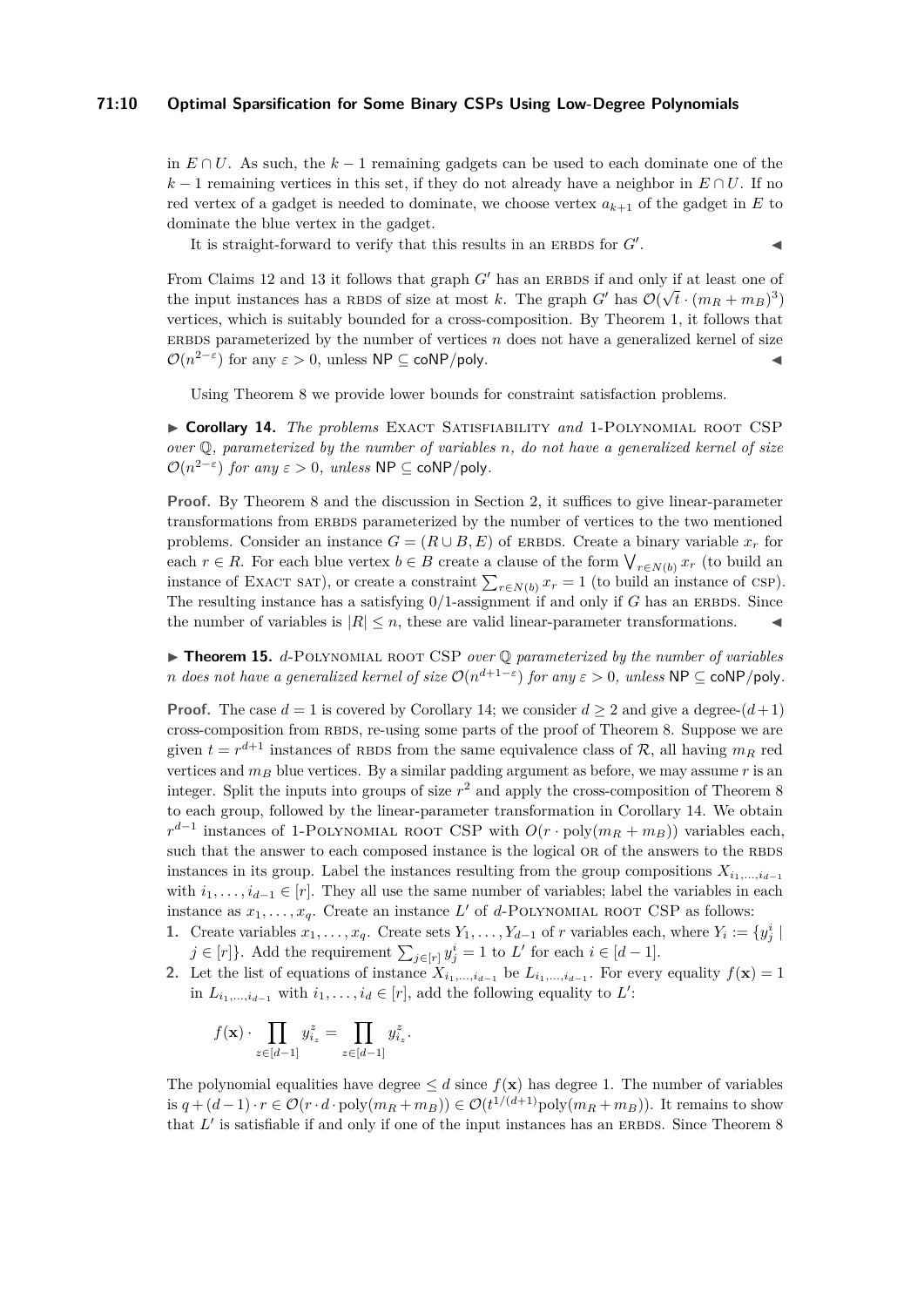## **71:10 Optimal Sparsification for Some Binary CSPs Using Low-Degree Polynomials**

in *E* ∩ *U*. As such, the *k* − 1 remaining gadgets can be used to each dominate one of the  $k-1$  remaining vertices in this set, if they do not already have a neighbor in  $E \cap U$ . If no red vertex of a gadget is needed to dominate, we choose vertex  $a_{k+1}$  of the gadget in  $E$  to dominate the blue vertex in the gadget.

It is straight-forward to verify that this results in an ERBDS for  $G'$ .

. J

From Claims [12](#page-8-3) and [13](#page-8-4) it follows that graph  $G'$  has an ERBDS if and only if at least one of the input instances has a RBDS of size at most *k*. The graph *G*<sup> $\prime$ </sup> has  $\mathcal{O}(\sqrt{t} \cdot (m_R + m_B)^3)$ vertices, which is suitably bounded for a cross-composition. By Theorem [1,](#page-3-0) it follows that ERBDS parameterized by the number of vertices  $n$  does not have a generalized kernel of size  $\mathcal{O}(n^{2-\epsilon})$  for any  $\varepsilon > 0$ , unless  $\mathsf{NP} \subseteq \mathsf{coNP/poly}.$ 

Using Theorem [8](#page-6-1) we provide lower bounds for constraint satisfaction problems.

<span id="page-9-0"></span>I **Corollary 14.** *The problems* Exact Satisfiability *and* 1-Polynomial root CSP *over* Q*, parameterized by the number of variables n, do not have a generalized kernel of size*  $\mathcal{O}(n^{2-\epsilon})$  *for any*  $\epsilon > 0$ *, unless* NP  $\subseteq$  coNP/poly.

**Proof.** By Theorem [8](#page-6-1) and the discussion in Section [2,](#page-3-1) it suffices to give linear-parameter transformations from ERBDS parameterized by the number of vertices to the two mentioned problems. Consider an instance  $G = (R \cup B, E)$  of ERBDS. Create a binary variable  $x_r$  for each  $r \in R$ . For each blue vertex  $b \in B$  create a clause of the form  $\bigvee_{r \in N(b)} x_r$  (to build an instance of EXACT SAT), or create a constraint  $\sum_{r \in N(b)} x_r = 1$  (to build an instance of CSP). The resulting instance has a satisfying  $0/1$ -assignment if and only if *G* has an ERBDS. Since the number of variables is  $|R| \leq n$ , these are valid linear-parameter transformations.

<span id="page-9-2"></span>I **Theorem 15.** *d*-Polynomial root CSP *over* Q *parameterized by the number of variables n* does not have a generalized kernel of size  $\mathcal{O}(n^{d+1-\varepsilon})$  for any  $\varepsilon > 0$ , unless NP  $\subseteq$  coNP/poly.

**Proof.** The case  $d = 1$  is covered by Corollary [14;](#page-9-0) we consider  $d \geq 2$  and give a degree- $(d+1)$ cross-composition from RBDS, re-using some parts of the proof of Theorem [8.](#page-6-1) Suppose we are given  $t = r^{d+1}$  instances of RBDS from the same equivalence class of  $\mathcal{R}$ , all having  $m_R$  red vertices and  $m_B$  blue vertices. By a similar padding argument as before, we may assume  $r$  is an integer. Split the inputs into groups of size *r* <sup>2</sup> and apply the cross-composition of Theorem [8](#page-6-1) to each group, followed by the linear-parameter transformation in Corollary [14.](#page-9-0) We obtain  $r^{d-1}$  instances of 1-POLYNOMIAL ROOT CSP with  $O(r \cdot \text{poly}(m_R + m_B))$  variables each, such that the answer to each composed instance is the logical OR of the answers to the RBDS instances in its group. Label the instances resulting from the group compositions  $X_{i_1,\,\ldots,i_{d-1}}$ with  $i_1, \ldots, i_{d-1} \in [r]$ . They all use the same number of variables; label the variables in each instance as  $x_1, \ldots, x_q$ . Create an instance L' of d-POLYNOMIAL ROOT CSP as follows:

- 1. Create variables  $x_1, \ldots, x_q$ . Create sets  $Y_1, \ldots, Y_{d-1}$  of *r* variables each, where  $Y_i := \{y_j^i |$ *j* ∈ [*r*]}. Add the requirement  $\sum_{j \in [r]} y_j^i = 1$  to *L*<sup> $\prime$ </sup> for each  $i \in [d-1]$ .
- <span id="page-9-1"></span>2. Let the list of equations of instance  $X_{i_1,\dots,i_{d-1}}$  be  $L_{i_1,\dots,i_{d-1}}$ . For every equality  $f(\mathbf{x}) = 1$ in  $L_{i_1,\ldots,i_{d-1}}$  with  $i_1,\ldots,i_d \in [r]$ , add the following equality to  $L'$ :

$$
f(\mathbf{x}) \cdot \prod_{z \in [d-1]} y_{i_z}^z = \prod_{z \in [d-1]} y_{i_z}^z.
$$

The polynomial equalities have degree  $\leq d$  since  $f(\mathbf{x})$  has degree 1. The number of variables is  $q + (d-1) \cdot r \in \mathcal{O}(r \cdot d \cdot \text{poly}(m_R + m_B)) \in \mathcal{O}(t^{1/(d+1)} \text{poly}(m_R + m_B)).$  It remains to show that  $L'$  is satisfiable if and only if one of the input instances has an ERBDS. Since Theorem [8](#page-6-1)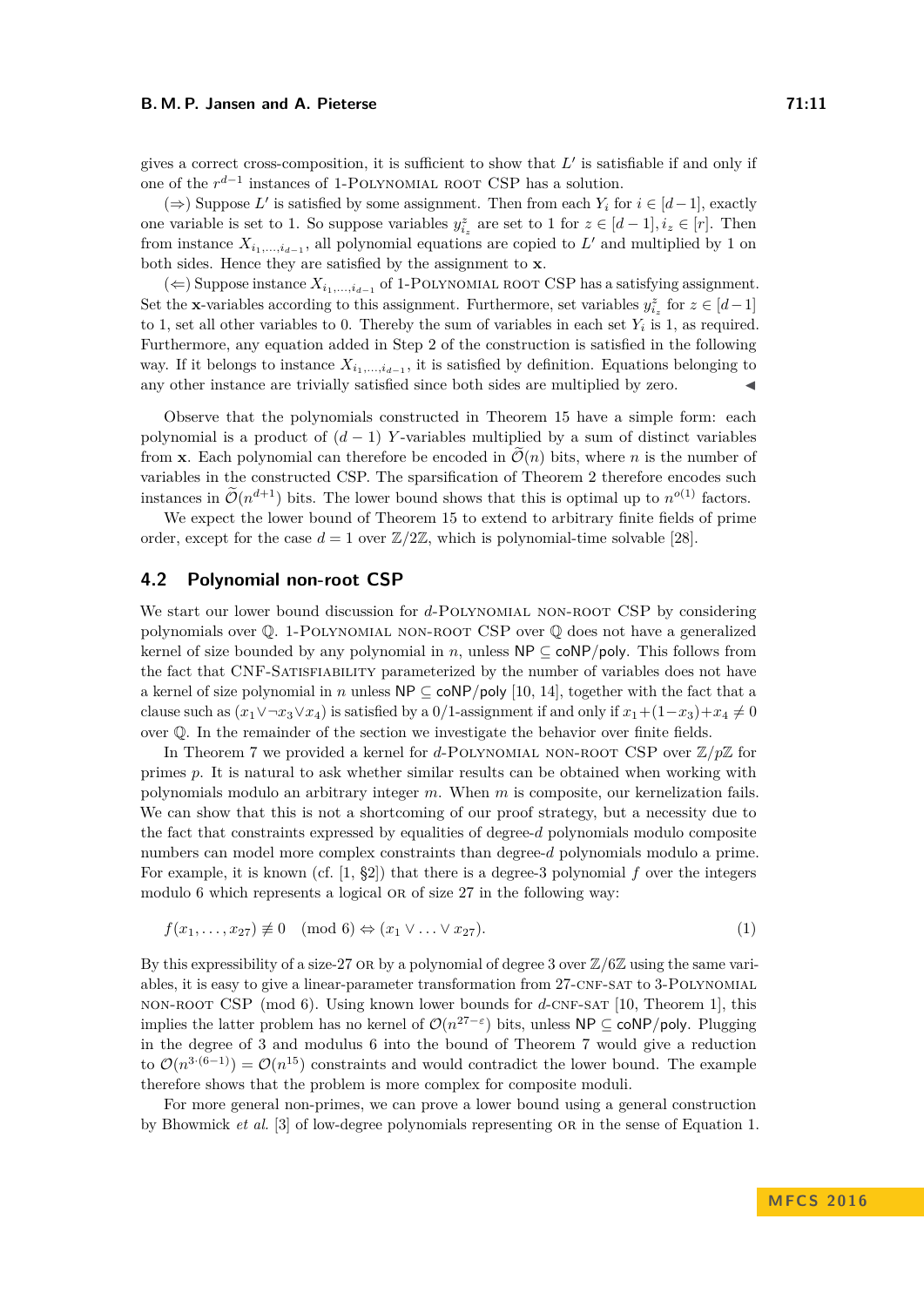#### **B. M. P. Jansen and A. Pieterse 71:11**

gives a correct cross-composition, it is sufficient to show that  $L'$  is satisfiable if and only if one of the  $r^{d-1}$  instances of 1-POLYNOMIAL ROOT CSP has a solution.

(⇒) Suppose  $L'$  is satisfied by some assignment. Then from each  $Y_i$  for  $i \in [d-1]$ , exactly one variable is set to 1. So suppose variables  $y_{i_z}^z$  are set to 1 for  $z \in [d-1], i_z \in [r]$ . Then from instance  $X_{i_1,\ldots,i_{d-1}}$ , all polynomial equations are copied to  $L'$  and multiplied by 1 on both sides. Hence they are satisfied by the assignment to **x**.

(←) Suppose instance  $X_{i_1,\ldots,i_{d-1}}$  of 1-POLYNOMIAL ROOT CSP has a satisfying assignment. Set the **x**-variables according to this assignment. Furthermore, set variables  $y_{i_z}^z$  for  $z \in [d-1]$ to 1, set all other variables to 0. Thereby the sum of variables in each set  $Y_i$  is 1, as required. Furthermore, any equation added in Step [2](#page-9-1) of the construction is satisfied in the following way. If it belongs to instance  $X_{i_1,\ldots,i_{d-1}}$ , it is satisfied by definition. Equations belonging to any other instance are trivially satisfied since both sides are multiplied by zero.

Observe that the polynomials constructed in Theorem [15](#page-9-2) have a simple form: each polynomial is a product of  $(d-1)$  *Y*-variables multiplied by a sum of distinct variables from **x**. Each polynomial can therefore be encoded in  $\mathcal{O}(n)$  bits, where *n* is the number of variables in the constructed CSP. The sparsification of Theorem [2](#page-4-0) therefore encodes such instances in  $\mathcal{O}(n^{d+1})$  bits. The lower bound shows that this is optimal up to  $n^{o(1)}$  factors.

We expect the lower bound of Theorem [15](#page-9-2) to extend to arbitrary finite fields of prime order, except for the case  $d = 1$  over  $\mathbb{Z}/2\mathbb{Z}$ , which is polynomial-time solvable [\[28\]](#page-13-7).

# <span id="page-10-0"></span>**4.2 Polynomial non-root CSP**

We start our lower bound discussion for *d*-POLYNOMIAL NON-ROOT CSP by considering polynomials over Q. 1-Polynomial non-root CSP over Q does not have a generalized kernel of size bounded by any polynomial in *n*, unless  $NP \subseteq \text{coNP/poly}$ . This follows from the fact that CNF-Satisfiability parameterized by the number of variables does not have a kernel of size polynomial in *n* unless  $NP \subset \text{coNP/poly}$  [\[10,](#page-12-5) [14\]](#page-12-15), together with the fact that a clause such as  $(x_1 \vee \neg x_3 \vee x_4)$  is satisfied by a 0/1-assignment if and only if  $x_1 + (1-x_3) + x_4 \neq 0$ over Q. In the remainder of the section we investigate the behavior over finite fields.

In Theorem [7](#page-6-0) we provided a kernel for *d*-POLYNOMIAL NON-ROOT CSP over  $\mathbb{Z}/p\mathbb{Z}$  for primes *p*. It is natural to ask whether similar results can be obtained when working with polynomials modulo an arbitrary integer *m*. When *m* is composite, our kernelization fails. We can show that this is not a shortcoming of our proof strategy, but a necessity due to the fact that constraints expressed by equalities of degree-*d* polynomials modulo composite numbers can model more complex constraints than degree-*d* polynomials modulo a prime. For example, it is known (cf. [\[1,](#page-12-16) §2]) that there is a degree-3 polynomial *f* over the integers modulo 6 which represents a logical OR of size 27 in the following way:

<span id="page-10-1"></span>
$$
f(x_1, \ldots, x_{27}) \not\equiv 0 \pmod{6} \Leftrightarrow (x_1 \vee \ldots \vee x_{27}).
$$
 (1)

By this expressibility of a size-27 or by a polynomial of degree 3 over Z*/*6Z using the same variables, it is easy to give a linear-parameter transformation from 27-CNF-SAT to 3-POLYNOMIAL non-root CSP (mod 6). Using known lower bounds for *d*-cnf-sat [\[10,](#page-12-5) Theorem 1], this implies the latter problem has no kernel of  $\mathcal{O}(n^{27-\epsilon})$  bits, unless NP ⊆ coNP/poly. Plugging in the degree of 3 and modulus 6 into the bound of Theorem [7](#page-6-0) would give a reduction to  $\mathcal{O}(n^{3(6-1)}) = \mathcal{O}(n^{15})$  constraints and would contradict the lower bound. The example therefore shows that the problem is more complex for composite moduli.

For more general non-primes, we can prove a lower bound using a general construction by Bhowmick *et al.* [\[3\]](#page-12-8) of low-degree polynomials representing or in the sense of Equation [1.](#page-10-1)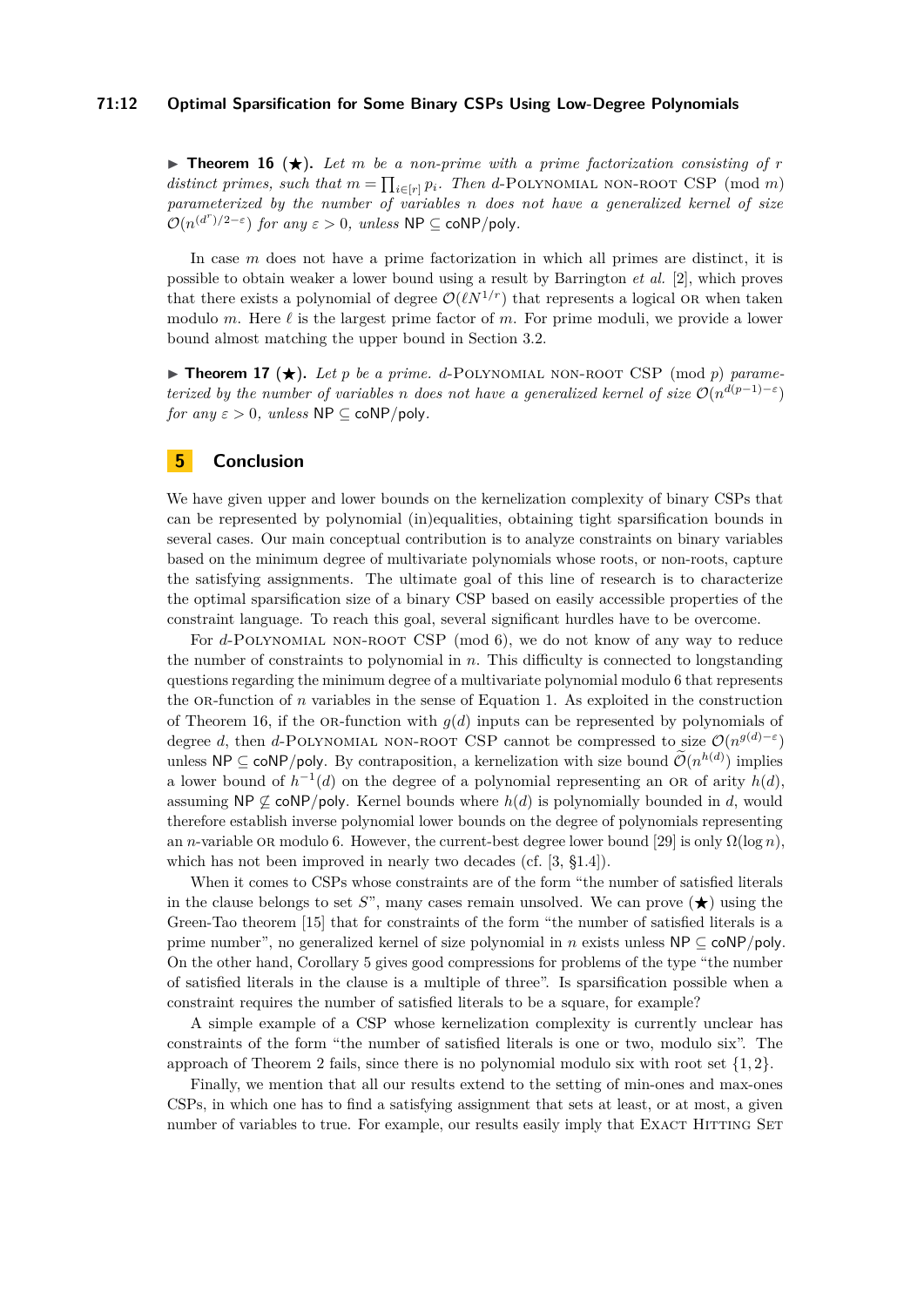### **71:12 Optimal Sparsification for Some Binary CSPs Using Low-Degree Polynomials**

<span id="page-11-0"></span>**Findamentary 16**  $(\star)$ . Let *m* be a non-prime with a prime factorization consisting of *r distinct primes, such that*  $m = \prod_{i \in [r]} p_i$ *. Then d*-POLYNOMIAL NON-ROOT CSP (mod *m*) *parameterized by the number of variables n does not have a generalized kernel of size*  $\mathcal{O}(n^{(d^r)/2-\varepsilon})$  *for any*  $\varepsilon > 0$ *, unless* NP  $\subseteq$  coNP/poly.

In case *m* does not have a prime factorization in which all primes are distinct, it is possible to obtain weaker a lower bound using a result by Barrington *et al.* [\[2\]](#page-12-7), which proves that there exists a polynomial of degree  $\mathcal{O}(\ell N^{1/r})$  that represents a logical OR when taken modulo *m*. Here  $\ell$  is the largest prime factor of *m*. For prime moduli, we provide a lower bound almost matching the upper bound in Section [3.2.](#page-6-2)

**Find Triangleright** Theorem 17 ( $\star$ ). Let *p* be a prime. d-POLYNOMIAL NON-ROOT CSP (mod *p*) parame*terized by the number of variables n does not have a generalized kernel of size*  $\mathcal{O}(n^{d(p-1)-\varepsilon})$ *for any*  $\varepsilon > 0$ *, unless*  $\textsf{NP} \subseteq \textsf{coNP/poly}.$ 

# **5 Conclusion**

We have given upper and lower bounds on the kernelization complexity of binary CSPs that can be represented by polynomial (in)equalities, obtaining tight sparsification bounds in several cases. Our main conceptual contribution is to analyze constraints on binary variables based on the minimum degree of multivariate polynomials whose roots, or non-roots, capture the satisfying assignments. The ultimate goal of this line of research is to characterize the optimal sparsification size of a binary CSP based on easily accessible properties of the constraint language. To reach this goal, several significant hurdles have to be overcome.

For *d*-POLYNOMIAL NON-ROOT CSP (mod 6), we do not know of any way to reduce the number of constraints to polynomial in *n*. This difficulty is connected to longstanding questions regarding the minimum degree of a multivariate polynomial modulo 6 that represents the OR-function of *n* variables in the sense of Equation [1.](#page-10-1) As exploited in the construction of Theorem [16,](#page-11-0) if the OR-function with  $g(d)$  inputs can be represented by polynomials of degree *d*, then *d*-POLYNOMIAL NON-ROOT CSP cannot be compressed to size  $\mathcal{O}(n^{g(d)-\varepsilon})$ unless  $\mathsf{NP} \subseteq \mathsf{coNP/poly}$ . By contraposition, a kernelization with size bound  $\mathcal{O}(n^{h(d)})$  implies a lower bound of  $h^{-1}(d)$  on the degree of a polynomial representing an OR of arity  $h(d)$ , assuming  $NP \not\subset \text{coNP/poly}$ . Kernel bounds where  $h(d)$  is polynomially bounded in *d*, would therefore establish inverse polynomial lower bounds on the degree of polynomials representing an *n*-variable OR modulo 6. However, the current-best degree lower bound [\[29\]](#page-13-6) is only  $\Omega(\log n)$ , which has not been improved in nearly two decades (cf. [\[3,](#page-12-8) §1.4]).

When it comes to CSPs whose constraints are of the form "the number of satisfied literals in the clause belongs to set *S*", many cases remain unsolved. We can prove  $(\star)$  using the Green-Tao theorem [\[15\]](#page-12-17) that for constraints of the form "the number of satisfied literals is a prime number", no generalized kernel of size polynomial in *n* exists unless NP ⊆ coNP*/*poly. On the other hand, Corollary [5](#page-5-0) gives good compressions for problems of the type "the number of satisfied literals in the clause is a multiple of three". Is sparsification possible when a constraint requires the number of satisfied literals to be a square, for example?

A simple example of a CSP whose kernelization complexity is currently unclear has constraints of the form "the number of satisfied literals is one or two, modulo six". The approach of Theorem [2](#page-4-0) fails, since there is no polynomial modulo six with root set {1*,* 2}.

Finally, we mention that all our results extend to the setting of min-ones and max-ones CSPs, in which one has to find a satisfying assignment that sets at least, or at most, a given number of variables to true. For example, our results easily imply that EXACT HITTING SET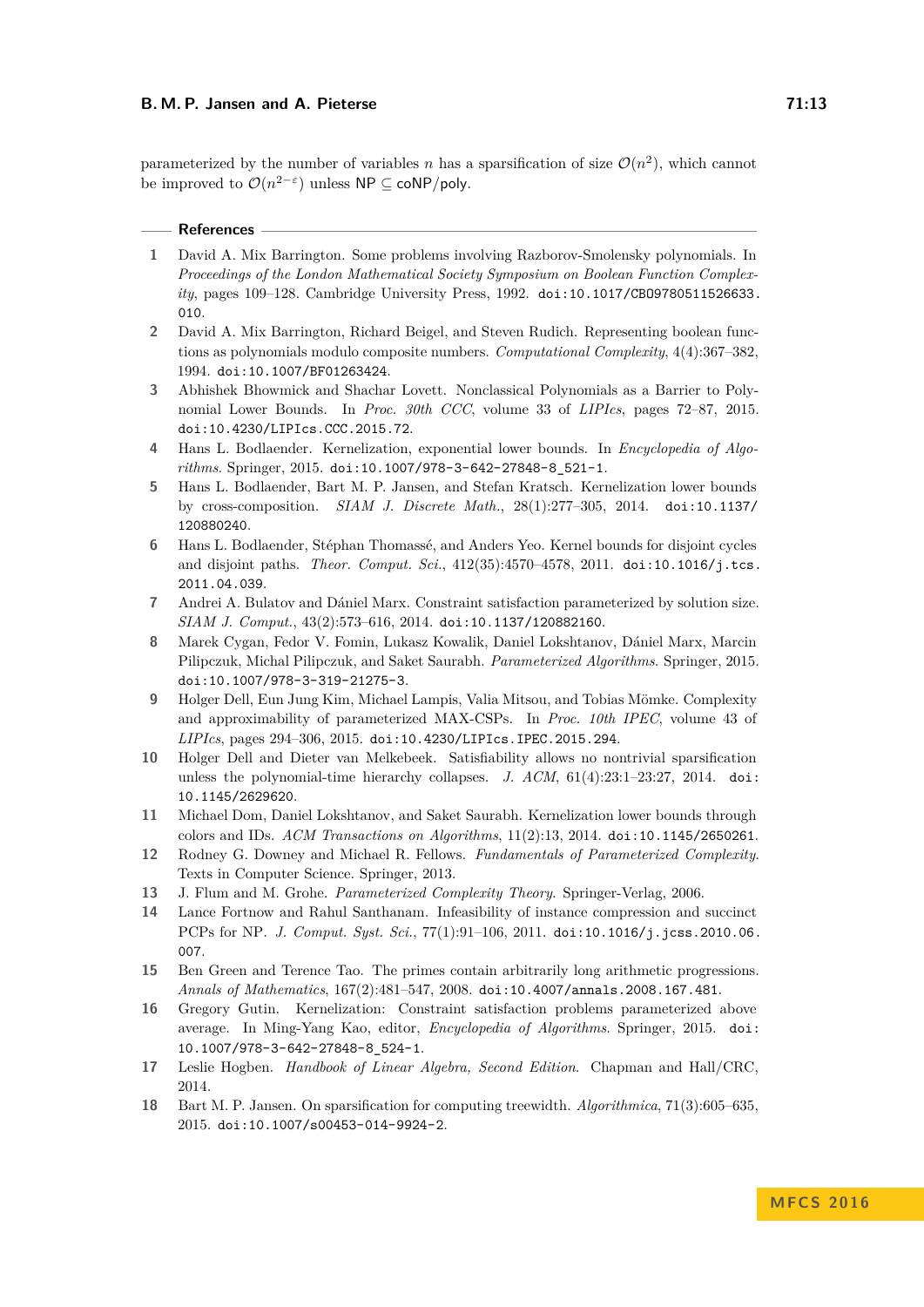#### **B. M. P. Jansen and A. Pieterse 71:13**

parameterized by the number of variables *n* has a sparsification of size  $\mathcal{O}(n^2)$ , which cannot be improved to  $\mathcal{O}(n^{2-\varepsilon})$  unless  $\mathsf{NP} \subseteq \mathsf{coNP/poly}.$ 

#### **References**

- <span id="page-12-16"></span>**1** David A. Mix Barrington. Some problems involving Razborov-Smolensky polynomials. In *Proceedings of the London Mathematical Society Symposium on Boolean Function Complexity*, pages 109–128. Cambridge University Press, 1992. [doi:10.1017/CBO9780511526633.](http://dx.doi.org/10.1017/CBO9780511526633.010) [010](http://dx.doi.org/10.1017/CBO9780511526633.010).
- <span id="page-12-7"></span>**2** David A. Mix Barrington, Richard Beigel, and Steven Rudich. Representing boolean functions as polynomials modulo composite numbers. *Computational Complexity*, 4(4):367–382, 1994. [doi:10.1007/BF01263424](http://dx.doi.org/10.1007/BF01263424).
- <span id="page-12-8"></span>**3** Abhishek Bhowmick and Shachar Lovett. Nonclassical Polynomials as a Barrier to Polynomial Lower Bounds. In *Proc. 30th CCC*, volume 33 of *LIPIcs*, pages 72–87, 2015. [doi:10.4230/LIPIcs.CCC.2015.72](http://dx.doi.org/10.4230/LIPIcs.CCC.2015.72).
- <span id="page-12-3"></span>**4** Hans L. Bodlaender. Kernelization, exponential lower bounds. In *Encyclopedia of Algorithms*. Springer, 2015. [doi:10.1007/978-3-642-27848-8\\_521-1](http://dx.doi.org/10.1007/978-3-642-27848-8_521-1).
- <span id="page-12-12"></span>**5** Hans L. Bodlaender, Bart M. P. Jansen, and Stefan Kratsch. Kernelization lower bounds by cross-composition. *SIAM J. Discrete Math.*, 28(1):277–305, 2014. [doi:10.1137/](http://dx.doi.org/10.1137/120880240) [120880240](http://dx.doi.org/10.1137/120880240).
- <span id="page-12-11"></span>**6** Hans L. Bodlaender, Stéphan Thomassé, and Anders Yeo. Kernel bounds for disjoint cycles and disjoint paths. *Theor. Comput. Sci.*, 412(35):4570–4578, 2011. [doi:10.1016/j.tcs.](http://dx.doi.org/10.1016/j.tcs.2011.04.039) [2011.04.039](http://dx.doi.org/10.1016/j.tcs.2011.04.039).
- <span id="page-12-9"></span>**7** Andrei A. Bulatov and Dániel Marx. Constraint satisfaction parameterized by solution size. *SIAM J. Comput.*, 43(2):573–616, 2014. [doi:10.1137/120882160](http://dx.doi.org/10.1137/120882160).
- <span id="page-12-0"></span>**8** Marek Cygan, Fedor V. Fomin, Lukasz Kowalik, Daniel Lokshtanov, Dániel Marx, Marcin Pilipczuk, Michal Pilipczuk, and Saket Saurabh. *Parameterized Algorithms*. Springer, 2015. [doi:10.1007/978-3-319-21275-3](http://dx.doi.org/10.1007/978-3-319-21275-3).
- <span id="page-12-10"></span>**9** Holger Dell, Eun Jung Kim, Michael Lampis, Valia Mitsou, and Tobias Mömke. Complexity and approximability of parameterized MAX-CSPs. In *Proc. 10th IPEC*, volume 43 of *LIPIcs*, pages 294–306, 2015. [doi:10.4230/LIPIcs.IPEC.2015.294](http://dx.doi.org/10.4230/LIPIcs.IPEC.2015.294).
- <span id="page-12-5"></span>**10** Holger Dell and Dieter van Melkebeek. Satisfiability allows no nontrivial sparsification unless the polynomial-time hierarchy collapses. *J. ACM*, 61(4):23:1–23:27, 2014. [doi:](http://dx.doi.org/10.1145/2629620) [10.1145/2629620](http://dx.doi.org/10.1145/2629620).
- <span id="page-12-14"></span>**11** Michael Dom, Daniel Lokshtanov, and Saket Saurabh. Kernelization lower bounds through colors and IDs. *ACM Transactions on Algorithms*, 11(2):13, 2014. [doi:10.1145/2650261](http://dx.doi.org/10.1145/2650261).
- <span id="page-12-1"></span>**12** Rodney G. Downey and Michael R. Fellows. *Fundamentals of Parameterized Complexity*. Texts in Computer Science. Springer, 2013.
- <span id="page-12-2"></span>**13** J. Flum and M. Grohe. *Parameterized Complexity Theory*. Springer-Verlag, 2006.
- <span id="page-12-15"></span>**14** Lance Fortnow and Rahul Santhanam. Infeasibility of instance compression and succinct PCPs for NP. *J. Comput. Syst. Sci.*, 77(1):91–106, 2011. [doi:10.1016/j.jcss.2010.06.](http://dx.doi.org/10.1016/j.jcss.2010.06.007) [007](http://dx.doi.org/10.1016/j.jcss.2010.06.007).
- <span id="page-12-17"></span>**15** Ben Green and Terence Tao. The primes contain arbitrarily long arithmetic progressions. *Annals of Mathematics*, 167(2):481–547, 2008. [doi:10.4007/annals.2008.167.481](http://dx.doi.org/10.4007/annals.2008.167.481).
- <span id="page-12-4"></span>**16** Gregory Gutin. Kernelization: Constraint satisfaction problems parameterized above average. In Ming-Yang Kao, editor, *Encyclopedia of Algorithms*. Springer, 2015. [doi:](http://dx.doi.org/10.1007/978-3-642-27848-8_524-1) [10.1007/978-3-642-27848-8\\_524-1](http://dx.doi.org/10.1007/978-3-642-27848-8_524-1).
- <span id="page-12-13"></span>**17** Leslie Hogben. *Handbook of Linear Algebra, Second Edition*. Chapman and Hall/CRC, 2014.
- <span id="page-12-6"></span>**18** Bart M. P. Jansen. On sparsification for computing treewidth. *Algorithmica*, 71(3):605–635, 2015. [doi:10.1007/s00453-014-9924-2](http://dx.doi.org/10.1007/s00453-014-9924-2).